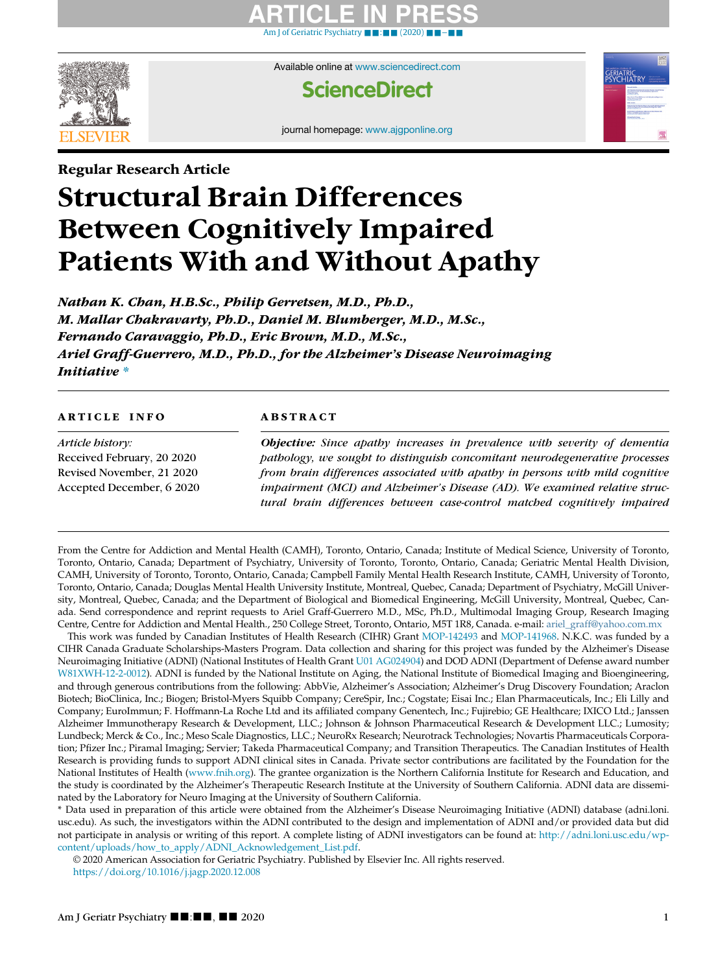### ARTICLE IN PRESS [Am J of Geriatric Psychiatry](https://doi.org/10.1016/j.jagp.2020.12.008) ■ [:](https://doi.org/10.1016/j.jagp.2020.12.008) ■ ■ [\(2020\)](https://doi.org/10.1016/j.jagp.2020.12.008) ■ ■[−](https://doi.org/10.1016/j.jagp.2020.12.008)■■



Available online at [www.sciencedirect.com](http://www.sciencedirect.com)

### **ScienceDirect**

journal homepage: [www.ajgponline.org](http://www.ajgponline.org)

# Regular Research Article Structural Brain Differences Between Cognitively Impaired Patients With and Without Apathy

Nathan K. Chan, H.B.Sc., Philip Gerretsen, M.D., Ph.D., M. Mallar Chakravarty, Ph.D., Daniel M. Blumberger, M.D., M.Sc., Fernando Caravaggio, Ph.D., Eric Brown, M.D., M.Sc., Ariel Graff-Guerrero, M.D., Ph.D., for the Alzheimer's Disease Neuroimaging Initiative [\\*](#page-0-0)

Article history: Received February, 20 2020 Revised November, 21 2020 Accepted December, 6 2020

### **ABSTRACT**

Objective: Since apathy increases in prevalence with severity of dementia pathology, we sought to distinguish concomitant neurodegenerative processes from brain differences associated with apathy in persons with mild cognitive impairment (MCI) and Alzheimer's Disease (AD). We examined relative structural brain differences between case-control matched cognitively impaired

From the Centre for Addiction and Mental Health (CAMH), Toronto, Ontario, Canada; Institute of Medical Science, University of Toronto, Toronto, Ontario, Canada; Department of Psychiatry, University of Toronto, Toronto, Ontario, Canada; Geriatric Mental Health Division, CAMH, University of Toronto, Toronto, Ontario, Canada; Campbell Family Mental Health Research Institute, CAMH, University of Toronto, Toronto, Ontario, Canada; Douglas Mental Health University Institute, Montreal, Quebec, Canada; Department of Psychiatry, McGill University, Montreal, Quebec, Canada; and the Department of Biological and Biomedical Engineering, McGill University, Montreal, Quebec, Canada. Send correspondence and reprint requests to Ariel Graff-Guerrero M.D., MSc, Ph.D., Multimodal Imaging Group, Research Imaging Centre, Centre for Addiction and Mental Health., 250 College Street, Toronto, Ontario, M5T 1R8, Canada. e-mail: [ariel\\_graff@yahoo.com.mx](mailto:ariel_graff@yahoo.com.mx)

<span id="page-0-2"></span><span id="page-0-1"></span>This work was funded by Canadian Institutes of Health Research (CIHR) Grant [MOP-142493](#page-0-1) and [MOP-141968.](#page-0-1) N.K.C. was funded by a CIHR Canada Graduate Scholarships-Masters Program. Data collection and sharing for this project was funded by the Alzheimer's Disease Neuroimaging Initiative (ADNI) (National Institutes of Health Grant [U01 AG024904\)](#page-0-2) and DOD ADNI (Department of Defense award number [W81XWH-12-2-0012\)](#page-0-2). ADNI is funded by the National Institute on Aging, the National Institute of Biomedical Imaging and Bioengineering, and through generous contributions from the following: AbbVie, Alzheimer's Association; Alzheimer's Drug Discovery Foundation; Araclon Biotech; BioClinica, Inc.; Biogen; Bristol-Myers Squibb Company; CereSpir, Inc.; Cogstate; Eisai Inc.; Elan Pharmaceuticals, Inc.; Eli Lilly and Company; EuroImmun; F. Hoffmann-La Roche Ltd and its affiliated company Genentech, Inc.; Fujirebio; GE Healthcare; IXICO Ltd.; Janssen Alzheimer Immunotherapy Research & Development, LLC.; Johnson & Johnson Pharmaceutical Research & Development LLC.; Lumosity; Lundbeck; Merck & Co., Inc.; Meso Scale Diagnostics, LLC.; NeuroRx Research; Neurotrack Technologies; Novartis Pharmaceuticals Corporation; Pfizer Inc.; Piramal Imaging; Servier; Takeda Pharmaceutical Company; and Transition Therapeutics. The Canadian Institutes of Health Research is providing funds to support ADNI clinical sites in Canada. Private sector contributions are facilitated by the Foundation for the National Institutes of Health ([www.fnih.org](http://www.fnih.org)). The grantee organization is the Northern California Institute for Research and Education, and the study is coordinated by the Alzheimer's Therapeutic Research Institute at the University of Southern California. ADNI data are disseminated by the Laboratory for Neuro Imaging at the University of Southern California.

<span id="page-0-0"></span>\* Data used in preparation of this article were obtained from the Alzheimer's Disease Neuroimaging Initiative (ADNI) database (adni.loni. usc.edu). As such, the investigators within the ADNI contributed to the design and implementation of ADNI and/or provided data but did not participate in analysis or writing of this report. A complete listing of ADNI investigators can be found at: [http://adni.loni.usc.edu/wp](http://adni.loni.usc.edu/wp-content/uploads/how_to_apply/ADNI_Acknowledgement_List.pdf)[content/uploads/how\\_to\\_apply/ADNI\\_Acknowledgement\\_List.pdf](http://adni.loni.usc.edu/wp-content/uploads/how_to_apply/ADNI_Acknowledgement_List.pdf).

© 2020 American Association for Geriatric Psychiatry. Published by Elsevier Inc. All rights reserved. <https://doi.org/10.1016/j.jagp.2020.12.008>

**ERIATRIC**<br>'SYCHIAT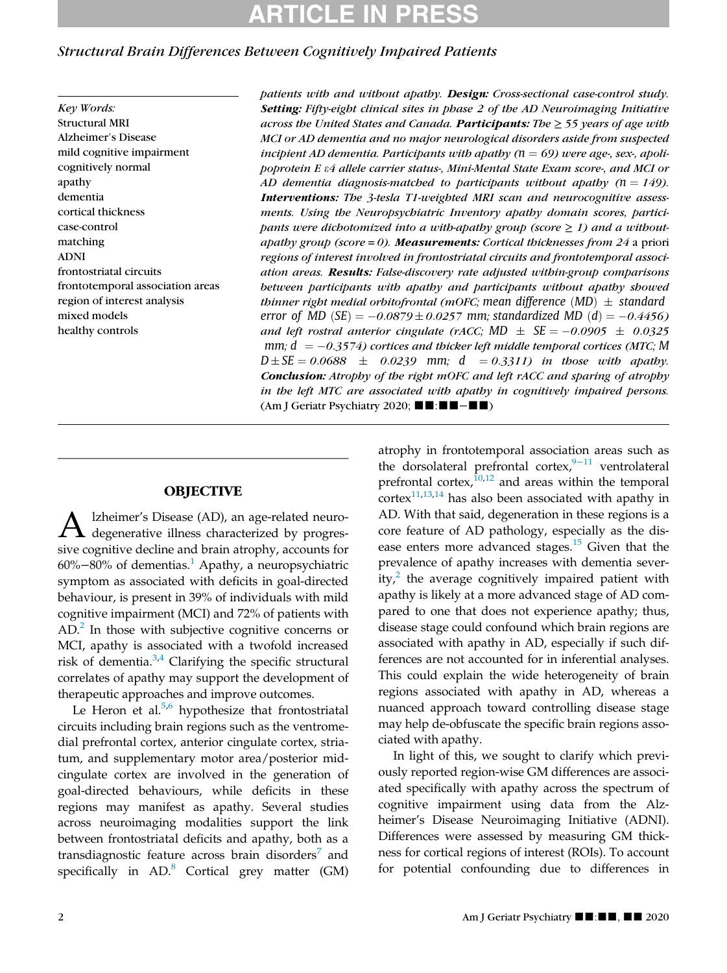# TICLE IN

### Structural Brain Differences Between Cognitively Impaired Patients

Key Words: Structural MRI Alzheimer's Disease mild cognitive impairment cognitively normal apathy dementia cortical thickness case-control matching ADNI frontostriatal circuits frontotemporal association areas region of interest analysis mixed models healthy controls

patients with and without apathy. Design: Cross-sectional case-control study. Setting: Fifty-eight clinical sites in phase 2 of the AD Neuroimaging Initiative across the United States and Canada. Participants: The  $\geq$  55 years of age with MCI or AD dementia and no major neurological disorders aside from suspected incipient AD dementia. Participants with apathy ( $n = 69$ ) were age-, sex-, apolipoprotein E e4 allele carrier status-, Mini-Mental State Exam score-, and MCI or AD dementia diagnosis-matched to participants without apathy  $(n = 149)$ . Interventions: The 3-tesla T1-weighted MRI scan and neurocognitive assessments. Using the Neuropsychiatric Inventory apathy domain scores, participants were dichotomized into a with-apathy group (score  $\geq 1$ ) and a withoutapathy group (score  $= 0$ ). Measurements: Cortical thicknesses from 24 a priori regions of interest involved in frontostriatal circuits and frontotemporal association areas. Results: False-discovery rate adjusted within-group comparisons between participants with apathy and participants without apathy showed thinner right medial orbitofrontal (mOFC; mean difference  $(MD) \pm$  standard error of MD  $(SE) = -0.0879 \pm 0.0257$  mm; standardized MD  $(d) = -0.4456$ and left rostral anterior cingulate (rACC; MD  $\pm$  SE = -0.0905  $\pm$  0.0325 mm;  $d = -0.3574$ ) cortices and thicker left middle temporal cortices (MTC; M  $D \pm SE = 0.0688 \pm 0.0239$  mm;  $d = 0.3311$  in those with apathy. Conclusion: Atrophy of the right mOFC and left rACC and sparing of atrophy in the left MTC are associated with apathy in cognitively impaired persons. (Am J Geriatr Psychiatry 2020;  $\blacksquare$  :  $\blacksquare$  -  $\blacksquare$ )

### **OBJECTIVE**

A Izheimer's Disease (AD), an age-related neuro-<br>degenerative illness characterized by progressive cognitive decline and brain atrophy, accounts for  $60\% - 80\%$  of dementias.<sup>[1](#page-11-0)</sup> Apathy, a neuropsychiatric symptom as associated with deficits in goal-directed behaviour, is present in 39% of individuals with mild cognitive impairment (MCI) and 72% of patients with  $AD<sup>2</sup>$  In those with subjective cognitive concerns or MCI, apathy is associated with a twofold increased risk of dementia. $3,4$  $3,4$  Clarifying the specific structural correlates of apathy may support the development of therapeutic approaches and improve outcomes.

Le Heron et al. $5,6$  $5,6$  hypothesize that frontostriatal circuits including brain regions such as the ventromedial prefrontal cortex, anterior cingulate cortex, striatum, and supplementary motor area/posterior midcingulate cortex are involved in the generation of goal-directed behaviours, while deficits in these regions may manifest as apathy. Several studies across neuroimaging modalities support the link between frontostriatal deficits and apathy, both as a transdiagnostic feature across brain disorders<sup>[7](#page-12-1)</sup> and specifically in  $AD$ <sup>[8](#page-12-2)</sup> Cortical grey matter (GM) atrophy in frontotemporal association areas such as the dorsolateral prefrontal cortex, $9-11$  $9-11$  ventrolateral prefrontal cortex,  $\frac{10,12}{2}$  $\frac{10,12}{2}$  $\frac{10,12}{2}$  $\frac{10,12}{2}$  and areas within the temporal  $\arccos \left( \frac{1}{100} \right)$  has also been associated with apathy in AD. With that said, degeneration in these regions is a core feature of AD pathology, especially as the disease enters more advanced stages. $15$  Given that the prevalence of apathy increases with dementia severity, $\lambda$  the average cognitively impaired patient with apathy is likely at a more advanced stage of AD compared to one that does not experience apathy; thus, disease stage could confound which brain regions are associated with apathy in AD, especially if such differences are not accounted for in inferential analyses. This could explain the wide heterogeneity of brain regions associated with apathy in AD, whereas a nuanced approach toward controlling disease stage may help de-obfuscate the specific brain regions associated with apathy.

In light of this, we sought to clarify which previously reported region-wise GM differences are associated specifically with apathy across the spectrum of cognitive impairment using data from the Alzheimer's Disease Neuroimaging Initiative (ADNI). Differences were assessed by measuring GM thickness for cortical regions of interest (ROIs). To account for potential confounding due to differences in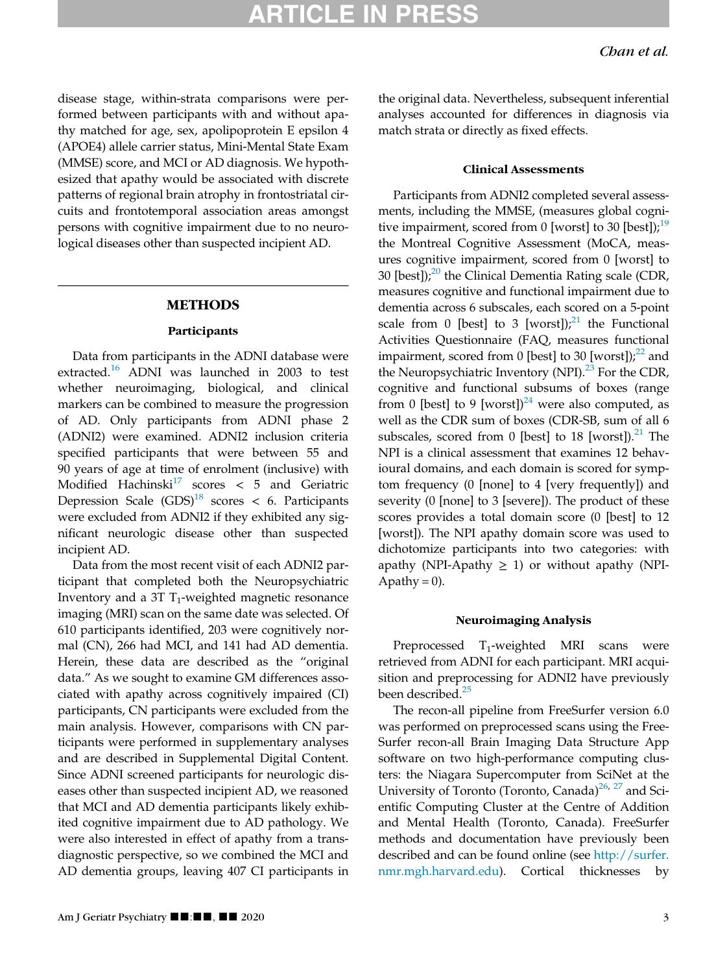disease stage, within-strata comparisons were performed between participants with and without apathy matched for age, sex, apolipoprotein E epsilon 4 (APOE4) allele carrier status, Mini-Mental State Exam (MMSE) score, and MCI or AD diagnosis. We hypothesized that apathy would be associated with discrete patterns of regional brain atrophy in frontostriatal circuits and frontotemporal association areas amongst persons with cognitive impairment due to no neurological diseases other than suspected incipient AD.

#### METHODS

#### Participants

Data from participants in the ADNI database were extracted.<sup>[16](#page-12-10)</sup> ADNI was launched in 2003 to test whether neuroimaging, biological, and clinical markers can be combined to measure the progression of AD. Only participants from ADNI phase 2 (ADNI2) were examined. ADNI2 inclusion criteria specified participants that were between 55 and 90 years of age at time of enrolment (inclusive) with Modified Hachinski<sup>[17](#page-12-11)</sup> scores  $\lt$  5 and Geriatric Depression Scale  $(GDS)^{18}$  $(GDS)^{18}$  $(GDS)^{18}$  scores < 6. Participants were excluded from ADNI2 if they exhibited any significant neurologic disease other than suspected incipient AD.

Data from the most recent visit of each ADNI2 participant that completed both the Neuropsychiatric Inventory and a 3T  $T_1$ -weighted magnetic resonance imaging (MRI) scan on the same date was selected. Of 610 participants identified, 203 were cognitively normal (CN), 266 had MCI, and 141 had AD dementia. Herein, these data are described as the "original data." As we sought to examine GM differences associated with apathy across cognitively impaired (CI) participants, CN participants were excluded from the main analysis. However, comparisons with CN participants were performed in supplementary analyses and are described in Supplemental Digital Content. Since ADNI screened participants for neurologic diseases other than suspected incipient AD, we reasoned that MCI and AD dementia participants likely exhibited cognitive impairment due to AD pathology. We were also interested in effect of apathy from a transdiagnostic perspective, so we combined the MCI and AD dementia groups, leaving 407 CI participants in the original data. Nevertheless, subsequent inferential analyses accounted for differences in diagnosis via match strata or directly as fixed effects.

#### Clinical Assessments

Participants from ADNI2 completed several assessments, including the MMSE, (measures global cognitive impairment, scored from 0 [worst] to 30 [best]); $^{19}$  $^{19}$  $^{19}$ the Montreal Cognitive Assessment (MoCA, measures cognitive impairment, scored from 0 [worst] to 30 [best]); $^{20}$  $^{20}$  $^{20}$  the Clinical Dementia Rating scale (CDR, measures cognitive and functional impairment due to dementia across 6 subscales, each scored on a 5-point scale from 0 [best] to 3 [worst]); $^{21}$  $^{21}$  $^{21}$  the Functional Activities Questionnaire (FAQ, measures functional impairment, scored from 0 [best] to 30 [worst]); $^{22}$  $^{22}$  $^{22}$  and the Neuropsychiatric Inventory (NPI). $^{23}$  $^{23}$  $^{23}$  For the CDR, cognitive and functional subsums of boxes (range from 0 [best] to 9 [worst])<sup>[24](#page-12-18)</sup> were also computed, as well as the CDR sum of boxes (CDR-SB, sum of all 6 subscales, scored from 0 [best] to 18 [worst]). $^{21}$  $^{21}$  $^{21}$  The NPI is a clinical assessment that examines 12 behavioural domains, and each domain is scored for symptom frequency (0 [none] to 4 [very frequently]) and severity (0 [none] to 3 [severe]). The product of these scores provides a total domain score (0 [best] to 12 [worst]). The NPI apathy domain score was used to dichotomize participants into two categories: with apathy (NPI-Apathy  $\geq$  1) or without apathy (NPI-Apathy =  $0$ ).

#### Neuroimaging Analysis

Preprocessed T<sub>1</sub>-weighted MRI scans were retrieved from ADNI for each participant. MRI acquisition and preprocessing for ADNI2 have previously been described.<sup>[25](#page-12-19)</sup>

The recon-all pipeline from FreeSurfer version 6.0 was performed on preprocessed scans using the Free-Surfer recon-all Brain Imaging Data Structure App software on two high-performance computing clusters: the Niagara Supercomputer from SciNet at the University of Toronto (Toronto, Canada)<sup>[26](#page-12-20), [27](#page-12-21)</sup> and Scientific Computing Cluster at the Centre of Addition and Mental Health (Toronto, Canada). FreeSurfer methods and documentation have previously been described and can be found online (see [http://surfer.](http://surfer.nmr.mgh.harvard.edu) [nmr.mgh.harvard.edu\)](http://surfer.nmr.mgh.harvard.edu). Cortical thicknesses by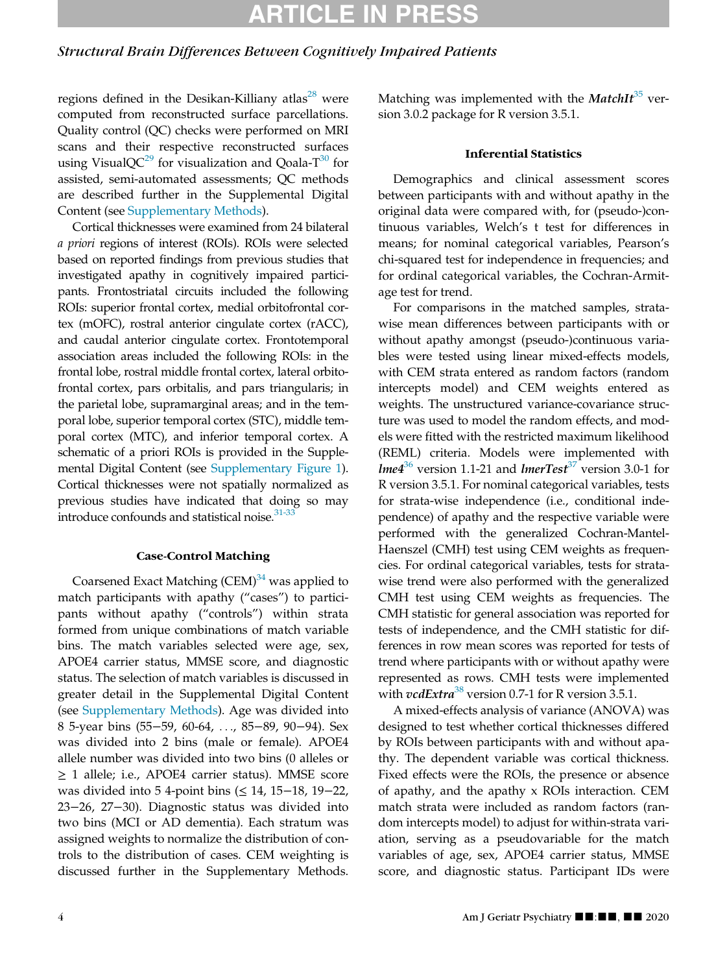### Structural Brain Differences Between Cognitively Impaired Patients

regions defined in the Desikan-Killiany atlas $^{28}$  $^{28}$  $^{28}$  were computed from reconstructed surface parcellations. Quality control (QC) checks were performed on MRI scans and their respective reconstructed surfaces using VisualQC<sup>[29](#page-12-23)</sup> for visualization and Qoala-T<sup>30</sup> for assisted, semi-automated assessments; QC methods are described further in the Supplemental Digital Content (see [Supplementary Methods\)](#page-11-5).

Cortical thicknesses were examined from 24 bilateral a priori regions of interest (ROIs). ROIs were selected based on reported findings from previous studies that investigated apathy in cognitively impaired participants. Frontostriatal circuits included the following ROIs: superior frontal cortex, medial orbitofrontal cortex (mOFC), rostral anterior cingulate cortex (rACC), and caudal anterior cingulate cortex. Frontotemporal association areas included the following ROIs: in the frontal lobe, rostral middle frontal cortex, lateral orbitofrontal cortex, pars orbitalis, and pars triangularis; in the parietal lobe, supramarginal areas; and in the temporal lobe, superior temporal cortex (STC), middle temporal cortex (MTC), and inferior temporal cortex. A schematic of a priori ROIs is provided in the Supplemental Digital Content (see [Supplementary Figure 1](#page-11-5)). Cortical thicknesses were not spatially normalized as previous studies have indicated that doing so may introduce confounds and statistical noise.<sup>[31-33](#page-12-25)</sup>

#### Case-Control Matching

Coarsened Exact Matching  $(CEM)^{34}$  $(CEM)^{34}$  $(CEM)^{34}$  was applied to match participants with apathy ("cases") to participants without apathy ("controls") within strata formed from unique combinations of match variable bins. The match variables selected were age, sex, APOE4 carrier status, MMSE score, and diagnostic status. The selection of match variables is discussed in greater detail in the Supplemental Digital Content (see [Supplementary Methods](#page-11-5)). Age was divided into 8 5-year bins (55−59, 60-64, ..., 85−89, 90−94). Sex was divided into 2 bins (male or female). APOE4 allele number was divided into two bins (0 alleles or ≥ 1 allele; i.e., APOE4 carrier status). MMSE score was divided into 5 4-point bins (≤ 14, 15−18, 19−22, 23−26, 27−30). Diagnostic status was divided into two bins (MCI or AD dementia). Each stratum was assigned weights to normalize the distribution of controls to the distribution of cases. CEM weighting is discussed further in the Supplementary Methods.

Matching was implemented with the MatchI $t^{35}$  $t^{35}$  $t^{35}$  version 3.0.2 package for R version 3.5.1.

#### Inferential Statistics

Demographics and clinical assessment scores between participants with and without apathy in the original data were compared with, for (pseudo-)continuous variables, Welch's t test for differences in means; for nominal categorical variables, Pearson's chi-squared test for independence in frequencies; and for ordinal categorical variables, the Cochran-Armitage test for trend.

For comparisons in the matched samples, stratawise mean differences between participants with or without apathy amongst (pseudo-)continuous variables were tested using linear mixed-effects models, with CEM strata entered as random factors (random intercepts model) and CEM weights entered as weights. The unstructured variance-covariance structure was used to model the random effects, and models were fitted with the restricted maximum likelihood (REML) criteria. Models were implemented with  $l$ me $4^{36}$  $4^{36}$  $4^{36}$  version 1.1-21 and  $l$ merTest<sup>[37](#page-12-29)</sup> version 3.0-1 for R version 3.5.1. For nominal categorical variables, tests for strata-wise independence (i.e., conditional independence) of apathy and the respective variable were performed with the generalized Cochran-Mantel-Haenszel (CMH) test using CEM weights as frequencies. For ordinal categorical variables, tests for stratawise trend were also performed with the generalized CMH test using CEM weights as frequencies. The CMH statistic for general association was reported for tests of independence, and the CMH statistic for differences in row mean scores was reported for tests of trend where participants with or without apathy were represented as rows. CMH tests were implemented with  $vcdExtra^{38}$  $vcdExtra^{38}$  $vcdExtra^{38}$  version 0.7-1 for R version 3.5.1.

A mixed-effects analysis of variance (ANOVA) was designed to test whether cortical thicknesses differed by ROIs between participants with and without apathy. The dependent variable was cortical thickness. Fixed effects were the ROIs, the presence or absence of apathy, and the apathy x ROIs interaction. CEM match strata were included as random factors (random intercepts model) to adjust for within-strata variation, serving as a pseudovariable for the match variables of age, sex, APOE4 carrier status, MMSE score, and diagnostic status. Participant IDs were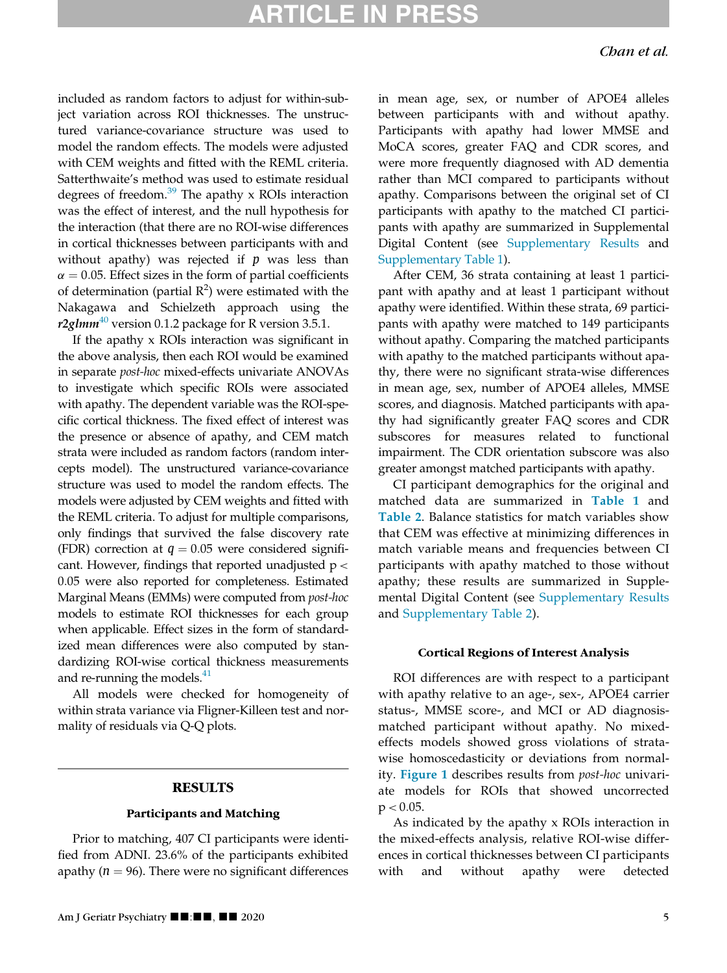included as random factors to adjust for within-subject variation across ROI thicknesses. The unstructured variance-covariance structure was used to model the random effects. The models were adjusted with CEM weights and fitted with the REML criteria. Satterthwaite's method was used to estimate residual degrees of freedom. $39$  The apathy x ROIs interaction was the effect of interest, and the null hypothesis for the interaction (that there are no ROI-wise differences in cortical thicknesses between participants with and without apathy) was rejected if  $p$  was less than  $\alpha$  = 0.05. Effect sizes in the form of partial coefficients of determination (partial  $R^2$ ) were estimated with the Nakagawa and Schielzeth approach using the r2glmm<sup>[40](#page-12-32)</sup> version 0.1.2 package for R version 3.5.1.

If the apathy x ROIs interaction was significant in the above analysis, then each ROI would be examined in separate post-hoc mixed-effects univariate ANOVAs to investigate which specific ROIs were associated with apathy. The dependent variable was the ROI-specific cortical thickness. The fixed effect of interest was the presence or absence of apathy, and CEM match strata were included as random factors (random intercepts model). The unstructured variance-covariance structure was used to model the random effects. The models were adjusted by CEM weights and fitted with the REML criteria. To adjust for multiple comparisons, only findings that survived the false discovery rate (FDR) correction at  $q = 0.05$  were considered significant. However, findings that reported unadjusted  $p <$ 0:05 were also reported for completeness. Estimated Marginal Means (EMMs) were computed from post-hoc models to estimate ROI thicknesses for each group when applicable. Effect sizes in the form of standardized mean differences were also computed by standardizing ROI-wise cortical thickness measurements and re-running the models. $41$ 

All models were checked for homogeneity of within strata variance via Fligner-Killeen test and normality of residuals via Q-Q plots.

### **RESULTS**

#### Participants and Matching

Prior to matching, 407 CI participants were identified from ADNI. 23.6% of the participants exhibited apathy ( $n = 96$ ). There were no significant differences in mean age, sex, or number of APOE4 alleles between participants with and without apathy. Participants with apathy had lower MMSE and MoCA scores, greater FAQ and CDR scores, and were more frequently diagnosed with AD dementia rather than MCI compared to participants without apathy. Comparisons between the original set of CI participants with apathy to the matched CI participants with apathy are summarized in Supplemental Digital Content (see [Supplementary Results](#page-11-5) and [Supplementary Table 1](#page-11-5)).

After CEM, 36 strata containing at least 1 participant with apathy and at least 1 participant without apathy were identified. Within these strata, 69 participants with apathy were matched to 149 participants without apathy. Comparing the matched participants with apathy to the matched participants without apathy, there were no significant strata-wise differences in mean age, sex, number of APOE4 alleles, MMSE scores, and diagnosis. Matched participants with apathy had significantly greater FAQ scores and CDR subscores for measures related to functional impairment. The CDR orientation subscore was also greater amongst matched participants with apathy.

CI participant demographics for the original and matched data are summarized in [Table 1](#page-5-0) and [Table 2](#page-6-0). Balance statistics for match variables show that CEM was effective at minimizing differences in match variable means and frequencies between CI participants with apathy matched to those without apathy; these results are summarized in Supplemental Digital Content (see [Supplementary Results](#page-11-5) and [Supplementary Table 2](#page-11-5)).

#### Cortical Regions of Interest Analysis

ROI differences are with respect to a participant with apathy relative to an age-, sex-, APOE4 carrier status-, MMSE score-, and MCI or AD diagnosismatched participant without apathy. No mixedeffects models showed gross violations of stratawise homoscedasticity or deviations from normality. [Figure 1](#page-7-0) describes results from post-hoc univariate models for ROIs that showed uncorrected  $p < 0.05$ .

As indicated by the apathy x ROIs interaction in the mixed-effects analysis, relative ROI-wise differences in cortical thicknesses between CI participants with and without apathy were detected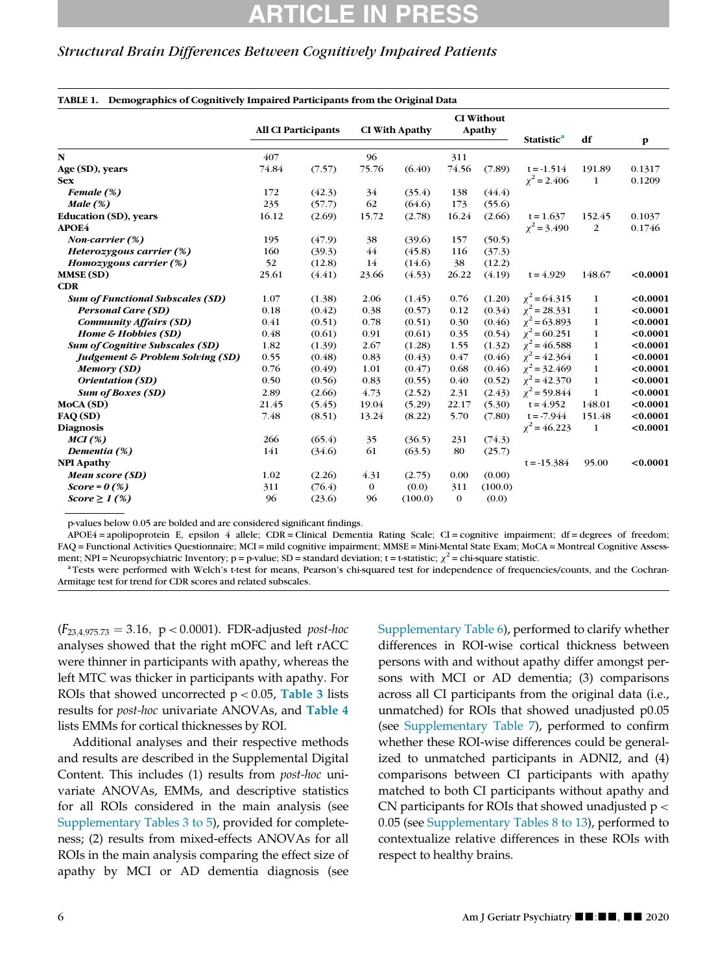### Structural Brain Differences Between Cognitively Impaired Patients

<span id="page-5-0"></span>

|                                             |       | <b>All CI Participants</b> |          | <b>CI With Apathy</b> |              | <b>CI</b> Without<br>Apathy | <b>Statistic<sup>a</sup></b> | df             | $\mathbf{p}$ |
|---------------------------------------------|-------|----------------------------|----------|-----------------------|--------------|-----------------------------|------------------------------|----------------|--------------|
| N                                           | 407   |                            | 96       |                       | 311          |                             |                              |                |              |
| Age (SD), years                             | 74.84 | (7.57)                     | 75.76    | (6.40)                | 74.56        | (7.89)                      | $t = -1.514$                 | 191.89         | 0.1317       |
| <b>Sex</b>                                  |       |                            |          |                       |              |                             | $\chi^2$ = 2.406             | 1              | 0.1209       |
| Female (%)                                  | 172   | (42.3)                     | 34       | (35.4)                | 138          | (44.4)                      |                              |                |              |
| Male $(\%)$                                 | 235   | (57.7)                     | 62       | (64.6)                | 173          | (55.6)                      |                              |                |              |
| <b>Education (SD)</b> , years               | 16.12 | (2.69)                     | 15.72    | (2.78)                | 16.24        | (2.66)                      | $t = 1.637$                  | 152.45         | 0.1037       |
| <b>APOE4</b>                                |       |                            |          |                       |              |                             | $\chi^2$ = 3.490             | $\overline{2}$ | 0.1746       |
| Non-carrier (%)                             | 195   | (47.9)                     | 38       | (39.6)                | 157          | (50.5)                      |                              |                |              |
| Heterozygous carrier (%)                    | 160   | (39.3)                     | 44       | (45.8)                | 116          | (37.3)                      |                              |                |              |
| Homozygous carrier $(\%)$                   | 52    | (12.8)                     | 14       | (14.6)                | 38           | (12.2)                      |                              |                |              |
| <b>MMSE (SD)</b>                            | 25.61 | (4.41)                     | 23.66    | (4.53)                | 26.22        | (4.19)                      | $t = 4.929$                  | 148.67         | < 0.0001     |
| CDR                                         |       |                            |          |                       |              |                             |                              |                |              |
| <b>Sum of Functional Subscales (SD)</b>     | 1.07  | (1.38)                     | 2.06     | (1.45)                | 0.76         | (1.20)                      | $\chi^2$ = 64.315            | $\mathbf{1}$   | < 0.0001     |
| <b>Personal Care (SD)</b>                   | 0.18  | (0.42)                     | 0.38     | (0.57)                | 0.12         | (0.34)                      | $\chi^2$ = 28.331            | $\mathbf{1}$   | < 0.0001     |
| <b>Community Affairs (SD)</b>               | 0.41  | (0.51)                     | 0.78     | (0.51)                | 0.30         | (0.46)                      | $\chi^2$ = 63.893            | $\mathbf{1}$   | < 0.0001     |
| Home & Hobbies (SD)                         | 0.48  | (0.61)                     | 0.91     | (0.61)                | 0.35         | (0.54)                      | $\chi^2$ = 60.251            | $\mathbf{1}$   | < 0.0001     |
| <b>Sum of Cognitive Subscales (SD)</b>      | 1.82  | (1.39)                     | 2.67     | (1.28)                | 1.55         | (1.32)                      | $\chi^2$ = 46.588            | $\mathbf{1}$   | < 0.0001     |
| <b>Judgement &amp; Problem Solving (SD)</b> | 0.55  | (0.48)                     | 0.83     | (0.43)                | 0.47         | (0.46)                      | $\chi^2$ = 42.364            | $\mathbf{1}$   | < 0.0001     |
| Memory (SD)                                 | 0.76  | (0.49)                     | 1.01     | (0.47)                | 0.68         | (0.46)                      | $\chi^2$ = 32.469            | $\mathbf{1}$   | < 0.0001     |
| Orientation (SD)                            | 0.50  | (0.56)                     | 0.83     | (0.55)                | 0.40         | (0.52)                      | $\chi^2$ = 42.370            | $\mathbf{1}$   | < 0.0001     |
| <b>Sum of Boxes (SD)</b>                    | 2.89  | (2.66)                     | 4.73     | (2.52)                | 2.31         | (2.43)                      | $\chi^2$ = 59.844            | $\mathbf{1}$   | < 0.0001     |
| MoCA (SD)                                   | 21.45 | (5.45)                     | 19.04    | (5.29)                | 22.17        | (5.30)                      | $t = 4.952$                  | 148.01         | < 0.0001     |
| FAQ (SD)                                    | 7.48  | (8.51)                     | 13.24    | (8.22)                | 5.70         | (7.80)                      | $t = -7.944$                 | 151.48         | < 0.0001     |
| <b>Diagnosis</b>                            |       |                            |          |                       |              |                             | $\chi^2$ = 46.223            | 1              | < 0.0001     |
| MCI(%)                                      | 266   | (65.4)                     | 35       | (36.5)                | 231          | (74.3)                      |                              |                |              |
| Dementia (%)                                | 141   | (34.6)                     | 61       | (63.5)                | 80           | (25.7)                      |                              |                |              |
| <b>NPI Apathy</b>                           |       |                            |          |                       |              |                             | $t = -15.384$                | 95.00          | < 0.0001     |
| Mean score (SD)                             | 1.02  | (2.26)                     | 4.31     | (2.75)                | 0.00         | (0.00)                      |                              |                |              |
| $Score = 0$ (%)                             | 311   | (76.4)                     | $\bf{0}$ | (0.0)                 | 311          | (100.0)                     |                              |                |              |
| $Score \geq 1$ (%)                          | 96    | (23.6)                     | 96       | (100.0)               | $\mathbf{0}$ | (0.0)                       |                              |                |              |

p-values below 0.05 are bolded and are considered significant findings.

APOE4 = apolipoprotein E, epsilon 4 allele; CDR = Clinical Dementia Rating Scale; CI = cognitive impairment; df = degrees of freedom; FAQ = Functional Activities Questionnaire; MCI = mild cognitive impairment; MMSE = Mini-Mental State Exam; MoCA = Montreal Cognitive Assessment; NPI = Neuropsychiatric Inventory;  $p = p$ -value; SD = standard deviation;  $t = t$ -statistic;  $\chi^2$  = chi-square statistic.<br><sup>a</sup> Tests were performed with Welch's t-test for means, Pearson's chi-squared test for independ

<span id="page-5-1"></span>Armitage test for trend for CDR scores and related subscales.

 $(F_{23,4.975,73} = 3.16, p < 0.0001)$ . FDR-adjusted post-hoc analyses showed that the right mOFC and left rACC were thinner in participants with apathy, whereas the left MTC was thicker in participants with apathy. For ROIs that showed uncorrected  $p < 0.05$ , [Table 3](#page-8-0) lists results for post-hoc univariate ANOVAs, and [Table 4](#page-9-0) lists EMMs for cortical thicknesses by ROI.

Additional analyses and their respective methods and results are described in the Supplemental Digital Content. This includes (1) results from post-hoc univariate ANOVAs, EMMs, and descriptive statistics for all ROIs considered in the main analysis (see [Supplementary Tables 3 to 5](#page-11-5)), provided for completeness; (2) results from mixed-effects ANOVAs for all ROIs in the main analysis comparing the effect size of apathy by MCI or AD dementia diagnosis (see

[Supplementary Table 6](#page-11-5)), performed to clarify whether differences in ROI-wise cortical thickness between persons with and without apathy differ amongst persons with MCI or AD dementia; (3) comparisons across all CI participants from the original data (i.e., unmatched) for ROIs that showed unadjusted p0:05 (see [Supplementary Table 7\)](#page-11-5), performed to confirm whether these ROI-wise differences could be generalized to unmatched participants in ADNI2, and (4) comparisons between CI participants with apathy matched to both CI participants without apathy and CN participants for ROIs that showed unadjusted  $p <$ 0:05 (see [Supplementary Tables 8 to 13\)](#page-11-5), performed to contextualize relative differences in these ROIs with respect to healthy brains.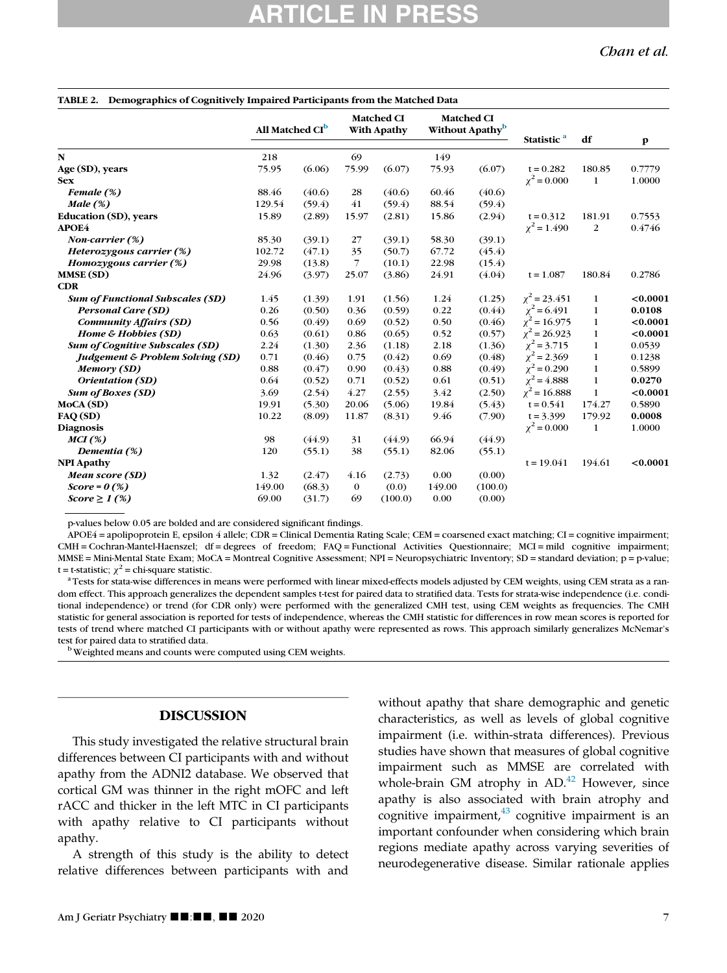Chan et al.

<span id="page-6-0"></span>

| TABLE 2. Demographics of Cognitively Impaired Participants from the Matched Data |                             |        |                |                                  |        |                                                  |                        |              |              |
|----------------------------------------------------------------------------------|-----------------------------|--------|----------------|----------------------------------|--------|--------------------------------------------------|------------------------|--------------|--------------|
|                                                                                  | All Matched CI <sup>b</sup> |        |                | <b>Matched CI</b><br>With Apathy |        | <b>Matched CI</b><br>Without Apathy <sup>b</sup> | Statistic <sup>a</sup> | df           | $\mathbf{p}$ |
| N                                                                                | 218                         |        | 69             |                                  | 149    |                                                  |                        |              |              |
| Age (SD), years                                                                  | 75.95                       | (6.06) | 75.99          | (6.07)                           | 75.93  | (6.07)                                           | $t = 0.282$            | 180.85       | 0.7779       |
| <b>Sex</b>                                                                       |                             |        |                |                                  |        |                                                  | $\chi^2 = 0.000$       | 1            | 1.0000       |
| Female $(\%)$                                                                    | 88.46                       | (40.6) | 28             | (40.6)                           | 60.46  | (40.6)                                           |                        |              |              |
| Male $(\%)$                                                                      | 129.54                      | (59.4) | 41             | (59.4)                           | 88.54  | (59.4)                                           |                        |              |              |
| <b>Education (SD)</b> , years                                                    | 15.89                       | (2.89) | 15.97          | (2.81)                           | 15.86  | (2.94)                                           | $t = 0.312$            | 181.91       | 0.7553       |
| APOE4                                                                            |                             |        |                |                                  |        |                                                  | $\chi^2$ = 1.490       | 2            | 0.4746       |
| Non-carrier (%)                                                                  | 85.30                       | (39.1) | 27             | (39.1)                           | 58.30  | (39.1)                                           |                        |              |              |
| Heterozygous carrier (%)                                                         | 102.72                      | (47.1) | 35             | (50.7)                           | 67.72  | (45.4)                                           |                        |              |              |
| Homozygous carrier (%)                                                           | 29.98                       | (13.8) | $\overline{7}$ | (10.1)                           | 22.98  | (15.4)                                           |                        |              |              |
| <b>MMSE (SD)</b>                                                                 | 24.96                       | (3.97) | 25.07          | (3.86)                           | 24.91  | (4.04)                                           | $t = 1.087$            | 180.84       | 0.2786       |
| <b>CDR</b>                                                                       |                             |        |                |                                  |        |                                                  |                        |              |              |
| <b>Sum of Functional Subscales (SD)</b>                                          | 1.45                        | (1.39) | 1.91           | (1.56)                           | 1.24   | (1.25)                                           | $\chi^2$ = 23.451      | $\mathbf{1}$ | < 0.0001     |
| <b>Personal Care (SD)</b>                                                        | 0.26                        | (0.50) | 0.36           | (0.59)                           | 0.22   | (0.44)                                           | $\chi^2$ = 6.491       | $\mathbf{1}$ | 0.0108       |
| <b>Community Affairs (SD)</b>                                                    | 0.56                        | (0.49) | 0.69           | (0.52)                           | 0.50   | (0.46)                                           | $\chi^2$ = 16.975      | $\mathbf{1}$ | < 0.0001     |
| Home & Hobbies (SD)                                                              | 0.63                        | (0.61) | 0.86           | (0.65)                           | 0.52   | (0.57)                                           | $\chi^2$ = 26.923      | $\mathbf{1}$ | < 0.0001     |
| <b>Sum of Cognitive Subscales (SD)</b>                                           | 2.24                        | (1.30) | 2.36           | (1.18)                           | 2.18   | (1.36)                                           | $\chi^2$ = 3.715       | $\mathbf{1}$ | 0.0539       |
| <b>Judgement &amp; Problem Solving (SD)</b>                                      | 0.71                        | (0.46) | 0.75           | (0.42)                           | 0.69   | (0.48)                                           | $\chi^2$ = 2.369       | $\mathbf 1$  | 0.1238       |
| Memory (SD)                                                                      | 0.88                        | (0.47) | 0.90           | (0.43)                           | 0.88   | (0.49)                                           | $\chi^2$ = 0.290       | $\mathbf 1$  | 0.5899       |
| Orientation (SD)                                                                 | 0.64                        | (0.52) | 0.71           | (0.52)                           | 0.61   | (0.51)                                           | $\chi^2$ = 4.888       | $\mathbf{1}$ | 0.0270       |
| <b>Sum of Boxes (SD)</b>                                                         | 3.69                        | (2.54) | 4.27           | (2.55)                           | 3.42   | (2.50)                                           | $\chi^2$ = 16.888      | $\mathbf{1}$ | < 0.0001     |
| MoCA (SD)                                                                        | 19.91                       | (5.30) | 20.06          | (5.06)                           | 19.84  | (5.43)                                           | $t = 0.541$            | 174.27       | 0.5890       |
| FAQ (SD)                                                                         | 10.22                       | (8.09) | 11.87          | (8.31)                           | 9.46   | (7.90)                                           | $t = 3.399$            | 179.92       | 0.0008       |
| <b>Diagnosis</b>                                                                 |                             |        |                |                                  |        |                                                  | $\chi^2 = 0.000$       | $\mathbf{1}$ | 1.0000       |
| MCI(%)                                                                           | 98                          | (44.9) | 31             | (44.9)                           | 66.94  | (44.9)                                           |                        |              |              |
| Dementia (%)                                                                     | 120                         | (55.1) | 38             | (55.1)                           | 82.06  | (55.1)                                           |                        |              |              |
| <b>NPI Apathy</b>                                                                |                             |        |                |                                  |        |                                                  | $t = 19.041$           | 194.61       | < 0.0001     |
| Mean score (SD)                                                                  | 1.32                        | (2.47) | 4.16           | (2.73)                           | 0.00   | (0.00)                                           |                        |              |              |
| $Score = 0$ (%)                                                                  | 149.00                      | (68.3) | $\bf{0}$       | (0.0)                            | 149.00 | (100.0)                                          |                        |              |              |
| $Score \geq 1$ (%)                                                               | 69.00                       | (31.7) | 69             | (100.0)                          | 0.00   | (0.00)                                           |                        |              |              |
|                                                                                  |                             |        |                |                                  |        |                                                  |                        |              |              |

p-values below 0.05 are bolded and are considered significant findings.

APOE4 = apolipoprotein E, epsilon 4 allele; CDR = Clinical Dementia Rating Scale; CEM = coarsened exact matching; CI = cognitive impairment; CMH = Cochran-Mantel-Haenszel; df = degrees of freedom; FAQ = Functional Activities Questionnaire; MCI = mild cognitive impairment; MMSE = Mini-Mental State Exam; MoCA = Montreal Cognitive Assessment; NPI = Neuropsychiatric Inventory; SD = standard deviation; p = p-value;

<span id="page-6-2"></span>t = t-statistic;  $\chi^2$  = chi-square statistic.<br><sup>a</sup> Tests for stata-wise differences in means were performed with linear mixed-effects models adjusted by CEM weights, using CEM strata as a random effect. This approach generalizes the dependent samples t-test for paired data to stratified data. Tests for strata-wise independence (i.e. conditional independence) or trend (for CDR only) were performed with the generalized CMH test, using CEM weights as frequencies. The CMH statistic for general association is reported for tests of independence, whereas the CMH statistic for differences in row mean scores is reported for tests of trend where matched CI participants with or without apathy were represented as rows. This approach similarly generalizes McNemar's test for paired data to stratified data.<br><sup>b</sup> Weighted means and counts were computed using CEM weights.

<span id="page-6-1"></span>

#### DISCUSSION

This study investigated the relative structural brain differences between CI participants with and without apathy from the ADNI2 database. We observed that cortical GM was thinner in the right mOFC and left rACC and thicker in the left MTC in CI participants with apathy relative to CI participants without apathy.

A strength of this study is the ability to detect relative differences between participants with and

without apathy that share demographic and genetic characteristics, as well as levels of global cognitive impairment (i.e. within-strata differences). Previous studies have shown that measures of global cognitive impairment such as MMSE are correlated with whole-brain GM atrophy in AD.<sup>[42](#page-12-34)</sup> However, since apathy is also associated with brain atrophy and cognitive impairment, $43$  cognitive impairment is an important confounder when considering which brain regions mediate apathy across varying severities of neurodegenerative disease. Similar rationale applies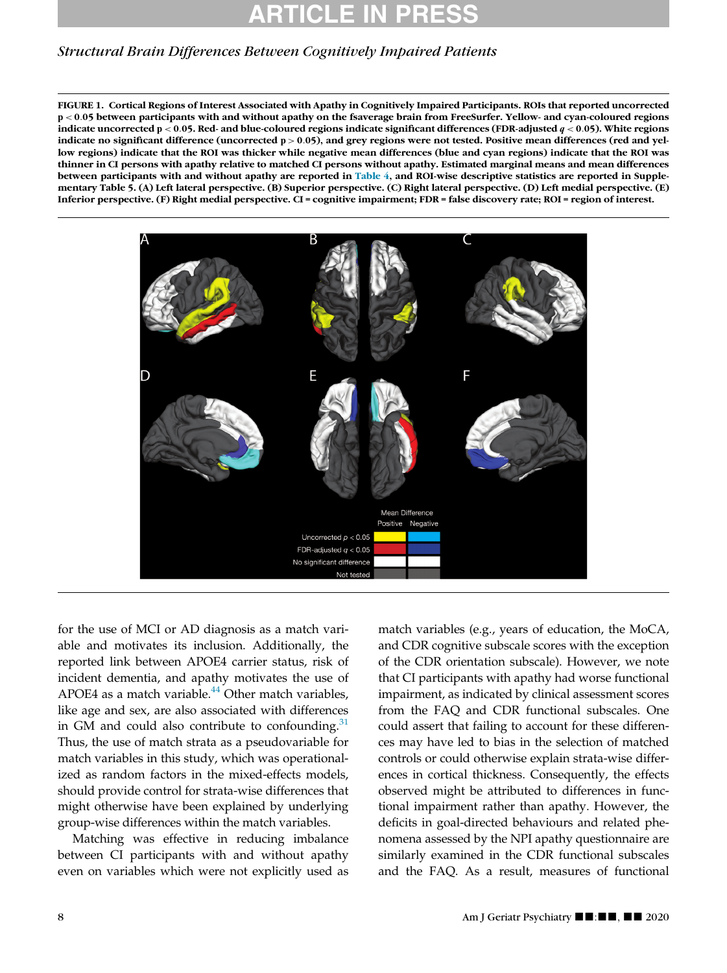### Structural Brain Differences Between Cognitively Impaired Patients

FIGURE 1. Cortical Regions of Interest Associated with Apathy in Cognitively Impaired Participants. ROIs that reported uncorrected p < 0:05 between participants with and without apathy on the fsaverage brain from FreeSurfer. Yellow- and cyan-coloured regions indicate uncorrected  $p < 0.05$ . Red- and blue-coloured regions indicate significant differences (FDR-adjusted  $q < 0.05$ ). White regions indicate no significant difference (uncorrected p > 0.05), and grey regions were not tested. Positive mean differences (red and yellow regions) indicate that the ROI was thicker while negative mean differences (blue and cyan regions) indicate that the ROI was thinner in CI persons with apathy relative to matched CI persons without apathy. Estimated marginal means and mean differences between participants with and without apathy are reported in [Table 4](#page-9-0), and ROI-wise descriptive statistics are reported in Supplementary Table 5. (A) Left lateral perspective. (B) Superior perspective. (C) Right lateral perspective. (D) Left medial perspective. (E) Inferior perspective. (F) Right medial perspective. CI = cognitive impairment; FDR = false discovery rate; ROI = region of interest.

<span id="page-7-0"></span>

for the use of MCI or AD diagnosis as a match variable and motivates its inclusion. Additionally, the reported link between APOE4 carrier status, risk of incident dementia, and apathy motivates the use of APOE4 as a match variable.<sup>[44](#page-12-36)</sup> Other match variables, like age and sex, are also associated with differences in GM and could also contribute to confounding. $31$ Thus, the use of match strata as a pseudovariable for match variables in this study, which was operationalized as random factors in the mixed-effects models, should provide control for strata-wise differences that might otherwise have been explained by underlying group-wise differences within the match variables.

Matching was effective in reducing imbalance between CI participants with and without apathy even on variables which were not explicitly used as

match variables (e.g., years of education, the MoCA, and CDR cognitive subscale scores with the exception of the CDR orientation subscale). However, we note that CI participants with apathy had worse functional impairment, as indicated by clinical assessment scores from the FAQ and CDR functional subscales. One could assert that failing to account for these differences may have led to bias in the selection of matched controls or could otherwise explain strata-wise differences in cortical thickness. Consequently, the effects observed might be attributed to differences in functional impairment rather than apathy. However, the deficits in goal-directed behaviours and related phenomena assessed by the NPI apathy questionnaire are similarly examined in the CDR functional subscales and the FAQ. As a result, measures of functional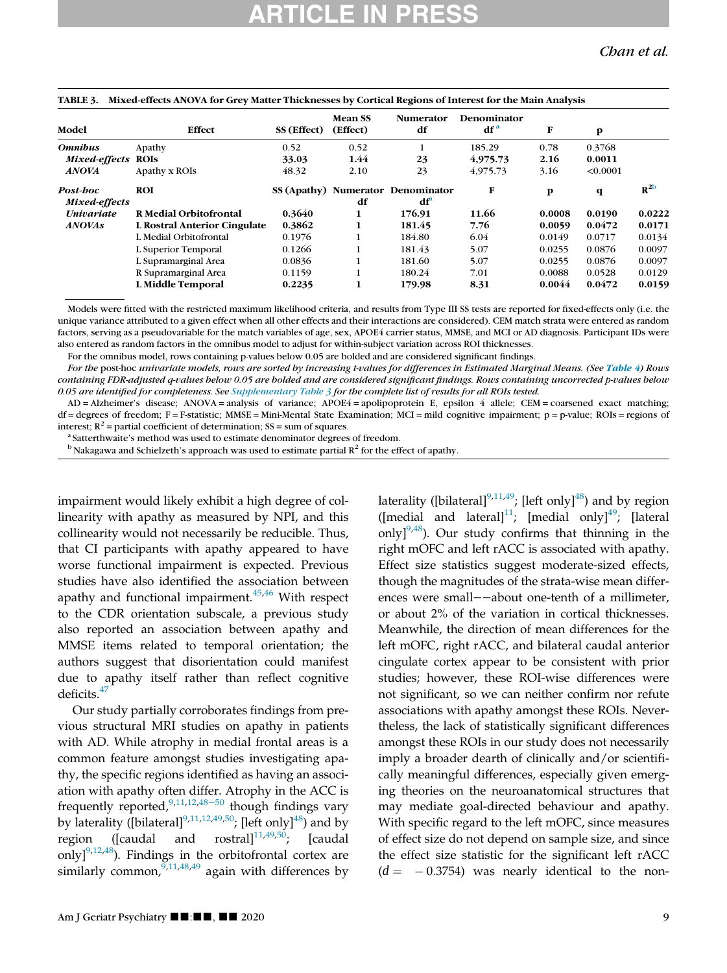| Model             | Effect                       | SS (Effect) | <b>Mean SS</b><br>(Effect) | <b>Numerator</b><br>df            | Denominator<br>df <sup>a</sup> | F      | p           |                 |
|-------------------|------------------------------|-------------|----------------------------|-----------------------------------|--------------------------------|--------|-------------|-----------------|
| <b>Omnibus</b>    | Apathy                       | 0.52        | 0.52                       |                                   | 185.29                         | 0.78   | 0.3768      |                 |
| Mixed-effects     | <b>ROIS</b>                  | 33.03       | 1.44                       | 23                                | 4,975.73                       | 2.16   | 0.0011      |                 |
| <b>ANOVA</b>      | Apathy x ROIs                | 48.32       | 2.10                       | 23                                | 4,975.73                       | 3.16   | < 0.0001    |                 |
| Post-boc          | ROI                          |             |                            | SS (Apathy) Numerator Denominator | F                              | p      | $\mathbf q$ | $R^{\text{2b}}$ |
| Mixed-effects     |                              |             | df                         | $df^a$                            |                                |        |             |                 |
| <b>Univariate</b> | R Medial Orbitofrontal       | 0.3640      | 1                          | 176.91                            | 11.66                          | 0.0008 | 0.0190      | 0.0222          |
| <b>ANOVAs</b>     | L Rostral Anterior Cingulate | 0.3862      | 1                          | 181.45                            | 7.76                           | 0.0059 | 0.0472      | 0.0171          |
|                   | L Medial Orbitofrontal       | 0.1976      |                            | 184.80                            | 6.04                           | 0.0149 | 0.0717      | 0.0134          |
|                   | L Superior Temporal          | 0.1266      |                            | 181.43                            | 5.07                           | 0.0255 | 0.0876      | 0.0097          |
|                   | L Supramarginal Area         | 0.0836      |                            | 181.60                            | 5.07                           | 0.0255 | 0.0876      | 0.0097          |
|                   | R Supramarginal Area         | 0.1159      |                            | 180.24                            | 7.01                           | 0.0088 | 0.0528      | 0.0129          |
|                   | L Middle Temporal            | 0.2235      | 1                          | 179.98                            | 8.31                           | 0.0044 | 0.0472      | 0.0159          |

#### <span id="page-8-0"></span>TABLE 3. Mixed-effects ANOVA for Grey Matter Thicknesses by Cortical Regions of Interest for the Main Analysis

Models were fitted with the restricted maximum likelihood criteria, and results from Type III SS tests are reported for fixed-effects only (i.e. the unique variance attributed to a given effect when all other effects and their interactions are considered). CEM match strata were entered as random factors, serving as a pseudovariable for the match variables of age, sex, APOE4 carrier status, MMSE, and MCI or AD diagnosis. Participant IDs were also entered as random factors in the omnibus model to adjust for within-subject variation across ROI thicknesses.

For the omnibus model, rows containing p-values below 0.05 are bolded and are considered significant findings.

For the post-hoc univariate models, rows are sorted by increasing t-values for differences in Estimated Marginal Means. (See [Table 4](#page-9-0)) Rows containing FDR-adjusted q-values below 0.05 are bolded and are considered significant findings. Rows containing uncorrected p-values below 0.05 are identified for completeness. See [Supplementary Table 3](#page-11-5) for the complete list of results for all ROIs tested.

<span id="page-8-1"></span>AD = Alzheimer's disease; ANOVA = analysis of variance; APOE4 = apolipoprotein E, epsilon 4 allele; CEM = coarsened exact matching;  $df = degrees of freedom$ ;  $F = F - statistic$ ; MMSE = Mini-Mental State Examination; MCI = mild cognitive impairment;  $p = p-value$ ; ROIs = regions of interest;  $R^2$  = partial coefficient of determination; SS = sum of squares.<br><sup>a</sup> Satterthwaite's method was used to estimate denominator degrees of freedom.

 $<sup>b</sup>$  Nakagawa and Schielzeth's approach was used to estimate partial  $R<sup>2</sup>$  for the effect of apathy.</sup>

impairment would likely exhibit a high degree of collinearity with apathy as measured by NPI, and this collinearity would not necessarily be reducible. Thus, that CI participants with apathy appeared to have worse functional impairment is expected. Previous studies have also identified the association between apathy and functional impairment. $45,46$  $45,46$  With respect to the CDR orientation subscale, a previous study also reported an association between apathy and MMSE items related to temporal orientation; the authors suggest that disorientation could manifest due to apathy itself rather than reflect cognitive deficits.<sup>[47](#page-12-39)</sup>

Our study partially corroborates findings from previous structural MRI studies on apathy in patients with AD. While atrophy in medial frontal areas is a common feature amongst studies investigating apathy, the specific regions identified as having an association with apathy often differ. Atrophy in the ACC is frequently reported, $9,11,12,48-50$  $9,11,12,48-50$  $9,11,12,48-50$  $9,11,12,48-50$  $9,11,12,48-50$  though findings vary by laterality ([bilateral]<sup>[9](#page-12-3),[11](#page-12-6)[,12,](#page-12-5)[49](#page-13-1),[50](#page-13-2)</sup>; [left only]<sup>48</sup>) and by region ([caudal and rostral] $11,49,50$  $11,49,50$  $11,49,50$  $11,49,50$ ; [caudal only] $^{9,12,48}$  $^{9,12,48}$  $^{9,12,48}$  $^{9,12,48}$ ). Findings in the orbitofrontal cortex are similarly common,  $9,11,48,49$  $9,11,48,49$  $9,11,48,49$  $9,11,48,49$  again with differences by laterality ([bilateral]<sup>[9](#page-12-3)[,11,](#page-12-6)[49](#page-13-1)</sup>; [left only]<sup>[48](#page-13-0)</sup>) and by region ([medial and lateral]<sup>[11](#page-12-6)</sup>; [medial only]<sup>49</sup>; [lateral] only] $9,48$  $9,48$ ). Our study confirms that thinning in the right mOFC and left rACC is associated with apathy. Effect size statistics suggest moderate-sized effects, though the magnitudes of the strata-wise mean differences were small−−about one-tenth of a millimeter, or about 2% of the variation in cortical thicknesses. Meanwhile, the direction of mean differences for the left mOFC, right rACC, and bilateral caudal anterior cingulate cortex appear to be consistent with prior studies; however, these ROI-wise differences were not significant, so we can neither confirm nor refute associations with apathy amongst these ROIs. Nevertheless, the lack of statistically significant differences amongst these ROIs in our study does not necessarily imply a broader dearth of clinically and/or scientifically meaningful differences, especially given emerging theories on the neuroanatomical structures that may mediate goal-directed behaviour and apathy. With specific regard to the left mOFC, since measures of effect size do not depend on sample size, and since the effect size statistic for the significant left rACC  $(d = -0.3754)$  was nearly identical to the non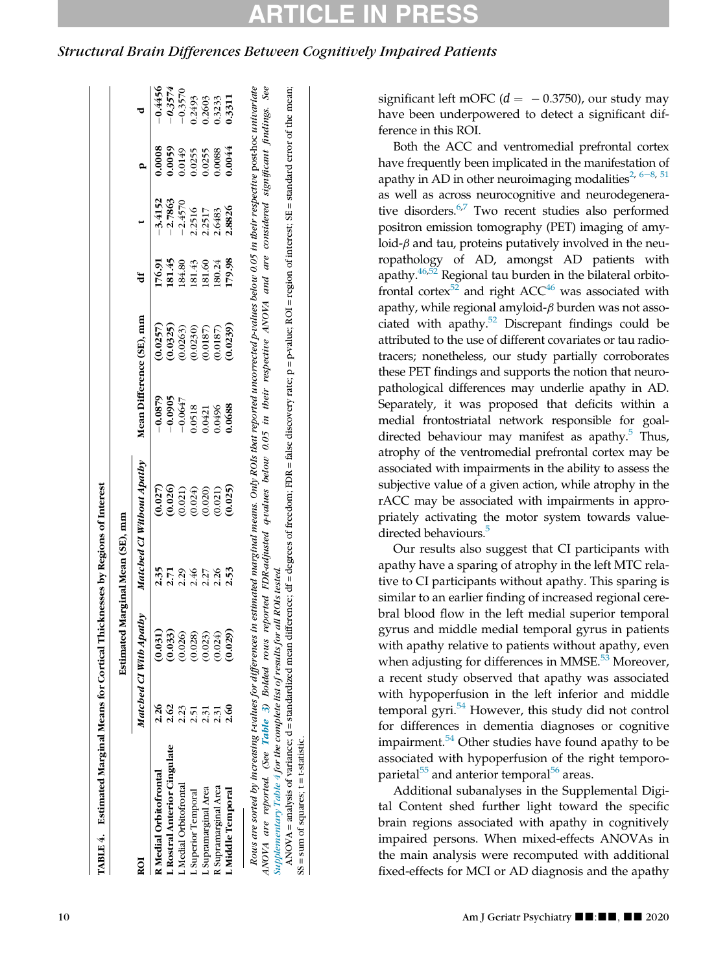<span id="page-9-0"></span>Structural Brain Differences Between Cognitively Impaired Patients

 $SS = sum of squares; t = t-statistic$ .

 $SS = sum of squares; t = t-statistic.$ 

| 76.91<br>ŧ<br>Mean Difference (SE), mm<br>(0.0257)<br>$-0.0879$<br>Matched CI Without Apathy<br>(0.027)<br>2.35<br>Matched CI With Apathy<br>(0.031)<br>$\frac{26}{1}$<br>R Medial Orbitofrontal<br>ROI |                     |           |
|---------------------------------------------------------------------------------------------------------------------------------------------------------------------------------------------------------|---------------------|-----------|
|                                                                                                                                                                                                         |                     |           |
|                                                                                                                                                                                                         | 0000.<br>$-3.4152$  | $-0.4456$ |
| 181.45<br>(0.0325)<br>$-0.0905$<br>(0.026)<br>2.71<br>(0.033)<br>2.62<br><b>L</b> Rostral Anterior Cingulate                                                                                            | 0.0059<br>$-2.7863$ | $-0.3574$ |
| 184.80<br>(0.0263)<br>$-0.0647$<br>(0.021)<br>2.29<br>(0.026)<br>L Medial Orbitofrontal                                                                                                                 | 0149<br>$-2.4570$   | $-0.3570$ |
| 181.43<br>(0.0230)<br>0.0518<br>(0.024)<br>2.46<br>(0.028)<br>L Superior Temporal                                                                                                                       | 0255<br>2.2516      | 0.2493    |
| 181.60<br>(0.0187)<br>1230.0<br>(0.020)<br>2.27<br>(0.023)<br>L Supramarginal Area                                                                                                                      | 0.255<br>2.2517     | 0.2603    |
| 180.24<br>(0.0187)<br>0496<br>(0.021)<br>2.26<br>(0.024)<br>R Supramarginal Area                                                                                                                        | 0.088<br>2.6483     | 0.3233    |
| 179.98<br>(0.0239)<br>0688<br>(0.025)<br>2.53<br>(0.029)<br>$\frac{60}{5}$<br>L Middle Temporal                                                                                                         | 0.0044<br>2.8826    | 1.3311    |

significant left mOFC ( $d = -0.3750$ ), our study may have been underpowered to detect a significant difference in this ROI.

Both the ACC and ventromedial prefrontal cortex have frequently been implicated in the manifestation of apathy in AD in other neuroimaging modalities<sup>[2](#page-11-1), 6–8, [51](#page-13-3)</sup> as well as across neurocognitive and neurodegenerative disorders. $6^{57}$  $6^{57}$  $6^{57}$  Two recent studies also performed positron emission tomography (PET) imaging of amyloid- $\beta$  and tau, proteins putatively involved in the neuropathology of AD, amongst AD patients with apathy. $46,52$  $46,52$  Regional tau burden in the bilateral orbitofrontal cortex $52$  and right ACC<sup>[46](#page-12-38)</sup> was associated with apathy, while regional amyloid- $\beta$  burden was not associated with apathy. $52$  Discrepant findings could be attributed to the use of different covariates or tau radiotracers; nonetheless, our study partially corroborates these PET findings and supports the notion that neuropathological differences may underlie apathy in AD. Separately, it was proposed that deficits within a medial frontostriatal network responsible for goaldirected behaviour may manifest as apathy. $5$  Thus, atrophy of the ventromedial prefrontal cortex may be associated with impairments in the ability to assess the subjective value of a given action, while atrophy in the rACC may be associated with impairments in appropriately activating the motor system towards value-directed behaviours.<sup>[5](#page-11-4)</sup>

Our results also suggest that CI participants with apathy have a sparing of atrophy in the left MTC relative to CI participants without apathy. This sparing is similar to an earlier finding of increased regional cerebral blood flow in the left medial superior temporal gyrus and middle medial temporal gyrus in patients with apathy relative to patients without apathy, even when adjusting for differences in MMSE. $53$  Moreover, a recent study observed that apathy was associated with hypoperfusion in the left inferior and middle temporal gyri.[54](#page-13-6) However, this study did not control for differences in dementia diagnoses or cognitive impairment. $54$  Other studies have found apathy to be associated with hypoperfusion of the right temporoparietal $^{55}$  $^{55}$  $^{55}$  and anterior temporal $^{56}$  $^{56}$  $^{56}$  areas.

Additional subanalyses in the Supplemental Digital Content shed further light toward the specific brain regions associated with apathy in cognitively impaired persons. When mixed-effects ANOVAs in the main analysis were recomputed with additional fixed-effects for MCI or AD diagnosis and the apathy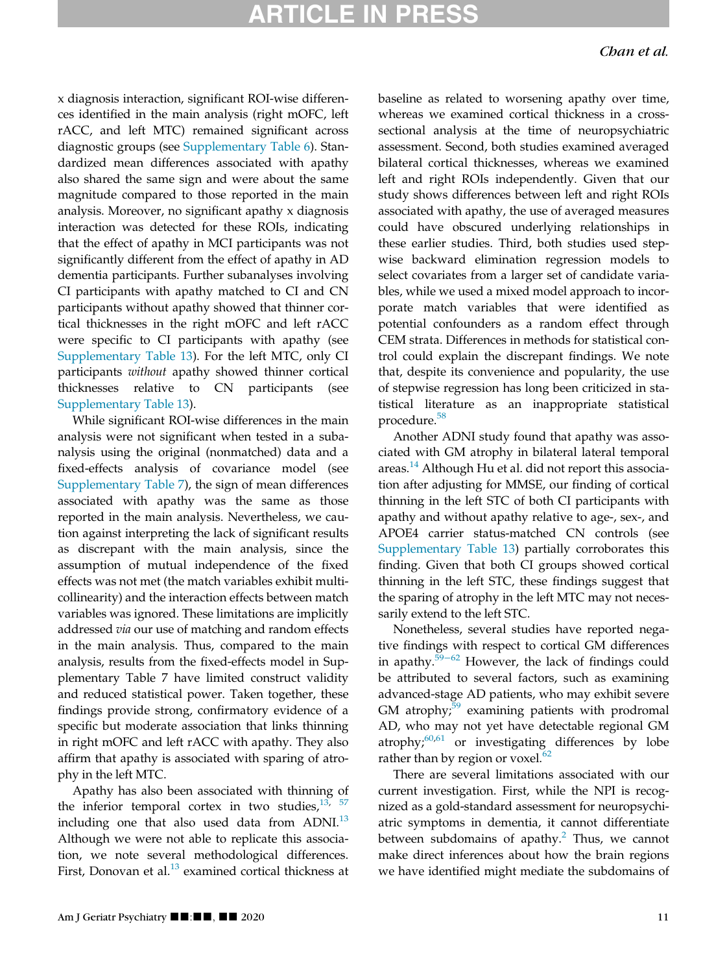### **IRTICLE IN PRE**

x diagnosis interaction, significant ROI-wise differences identified in the main analysis (right mOFC, left rACC, and left MTC) remained significant across diagnostic groups (see [Supplementary Table 6\)](#page-11-5). Standardized mean differences associated with apathy also shared the same sign and were about the same magnitude compared to those reported in the main analysis. Moreover, no significant apathy x diagnosis interaction was detected for these ROIs, indicating that the effect of apathy in MCI participants was not significantly different from the effect of apathy in AD dementia participants. Further subanalyses involving CI participants with apathy matched to CI and CN participants without apathy showed that thinner cortical thicknesses in the right mOFC and left rACC were specific to CI participants with apathy (see [Supplementary Table 13](#page-11-5)). For the left MTC, only CI participants without apathy showed thinner cortical thicknesses relative to CN participants (see [Supplementary Table 13](#page-11-5)).

While significant ROI-wise differences in the main analysis were not significant when tested in a subanalysis using the original (nonmatched) data and a fixed-effects analysis of covariance model (see [Supplementary Table 7](#page-11-5)), the sign of mean differences associated with apathy was the same as those reported in the main analysis. Nevertheless, we caution against interpreting the lack of significant results as discrepant with the main analysis, since the assumption of mutual independence of the fixed effects was not met (the match variables exhibit multicollinearity) and the interaction effects between match variables was ignored. These limitations are implicitly addressed via our use of matching and random effects in the main analysis. Thus, compared to the main analysis, results from the fixed-effects model in Supplementary Table 7 have limited construct validity and reduced statistical power. Taken together, these findings provide strong, confirmatory evidence of a specific but moderate association that links thinning in right mOFC and left rACC with apathy. They also affirm that apathy is associated with sparing of atrophy in the left MTC.

Apathy has also been associated with thinning of the inferior temporal cortex in two studies, $13, 57$  $13, 57$  $13, 57$ including one that also used data from  $ADNI.<sup>13</sup>$  $ADNI.<sup>13</sup>$  $ADNI.<sup>13</sup>$ Although we were not able to replicate this association, we note several methodological differences. First, Donovan et al. $^{13}$  examined cortical thickness at baseline as related to worsening apathy over time, whereas we examined cortical thickness in a crosssectional analysis at the time of neuropsychiatric assessment. Second, both studies examined averaged bilateral cortical thicknesses, whereas we examined left and right ROIs independently. Given that our study shows differences between left and right ROIs associated with apathy, the use of averaged measures could have obscured underlying relationships in these earlier studies. Third, both studies used stepwise backward elimination regression models to select covariates from a larger set of candidate variables, while we used a mixed model approach to incorporate match variables that were identified as potential confounders as a random effect through CEM strata. Differences in methods for statistical control could explain the discrepant findings. We note that, despite its convenience and popularity, the use of stepwise regression has long been criticized in statistical literature as an inappropriate statistical procedure.<sup>[58](#page-13-10)</sup>

Another ADNI study found that apathy was associated with GM atrophy in bilateral lateral temporal areas.<sup>[14](#page-12-8)</sup> Although Hu et al. did not report this association after adjusting for MMSE, our finding of cortical thinning in the left STC of both CI participants with apathy and without apathy relative to age-, sex-, and APOE4 carrier status-matched CN controls (see [Supplementary Table 13\)](#page-11-5) partially corroborates this finding. Given that both CI groups showed cortical thinning in the left STC, these findings suggest that the sparing of atrophy in the left MTC may not necessarily extend to the left STC.

Nonetheless, several studies have reported negative findings with respect to cortical GM differences in apathy.[59](#page-13-11)−<sup>62</sup> However, the lack of findings could be attributed to several factors, such as examining advanced-stage AD patients, who may exhibit severe GM atrophy; $59$  examining patients with prodromal AD, who may not yet have detectable regional GM atrophy; $60,61$  $60,61$  $60,61$  or investigating differences by lobe rather than by region or voxel.<sup>[62](#page-13-14)</sup>

There are several limitations associated with our current investigation. First, while the NPI is recognized as a gold-standard assessment for neuropsychiatric symptoms in dementia, it cannot differentiate between subdomains of apathy. $^2$  $^2$  Thus, we cannot make direct inferences about how the brain regions we have identified might mediate the subdomains of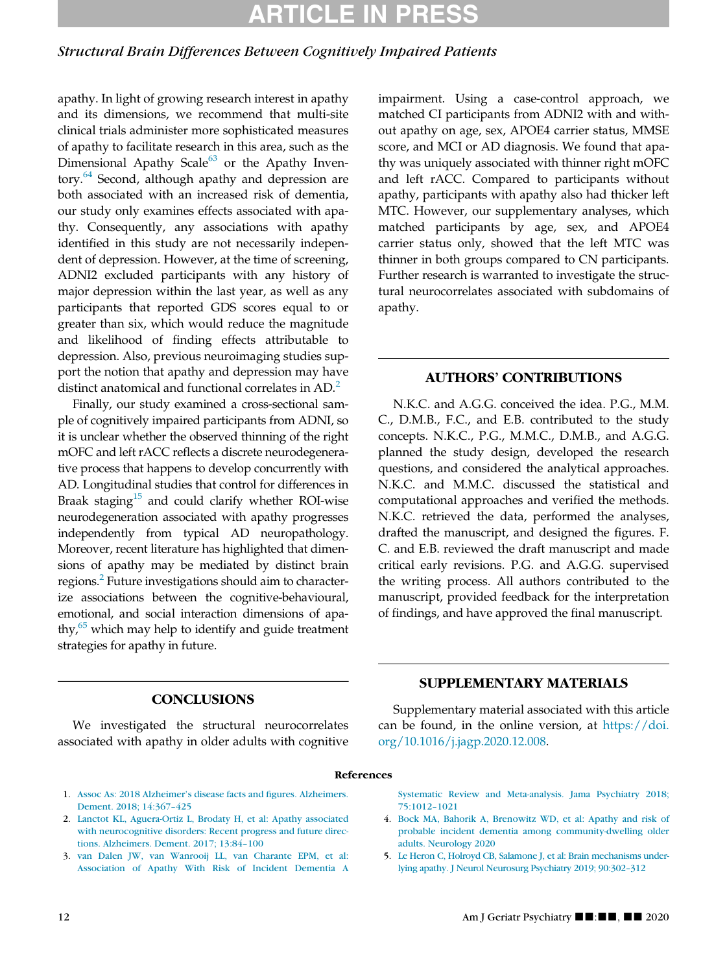# RTICLE IN

### Structural Brain Differences Between Cognitively Impaired Patients

apathy. In light of growing research interest in apathy and its dimensions, we recommend that multi-site clinical trials administer more sophisticated measures of apathy to facilitate research in this area, such as the Dimensional Apathy Scale $^{63}$  $^{63}$  $^{63}$  or the Apathy Inven-tory.<sup>[64](#page-13-16)</sup> Second, although apathy and depression are both associated with an increased risk of dementia, our study only examines effects associated with apathy. Consequently, any associations with apathy identified in this study are not necessarily independent of depression. However, at the time of screening, ADNI2 excluded participants with any history of major depression within the last year, as well as any participants that reported GDS scores equal to or greater than six, which would reduce the magnitude and likelihood of finding effects attributable to depression. Also, previous neuroimaging studies support the notion that apathy and depression may have distinct anatomical and functional correlates in AD.<sup>[2](#page-11-1)</sup>

Finally, our study examined a cross-sectional sample of cognitively impaired participants from ADNI, so it is unclear whether the observed thinning of the right mOFC and left rACC reflects a discrete neurodegenerative process that happens to develop concurrently with AD. Longitudinal studies that control for differences in Braak staging $15$  and could clarify whether ROI-wise neurodegeneration associated with apathy progresses independently from typical AD neuropathology. Moreover, recent literature has highlighted that dimensions of apathy may be mediated by distinct brain regions.<sup>2</sup> Future investigations should aim to characterize associations between the cognitive-behavioural, emotional, and social interaction dimensions of apathy, $65$  which may help to identify and guide treatment strategies for apathy in future.

impairment. Using a case-control approach, we matched CI participants from ADNI2 with and without apathy on age, sex, APOE4 carrier status, MMSE score, and MCI or AD diagnosis. We found that apathy was uniquely associated with thinner right mOFC and left rACC. Compared to participants without apathy, participants with apathy also had thicker left MTC. However, our supplementary analyses, which matched participants by age, sex, and APOE4 carrier status only, showed that the left MTC was thinner in both groups compared to CN participants. Further research is warranted to investigate the structural neurocorrelates associated with subdomains of apathy.

### AUTHORS' CONTRIBUTIONS

N.K.C. and A.G.G. conceived the idea. P.G., M.M. C., D.M.B., F.C., and E.B. contributed to the study concepts. N.K.C., P.G., M.M.C., D.M.B., and A.G.G. planned the study design, developed the research questions, and considered the analytical approaches. N.K.C. and M.M.C. discussed the statistical and computational approaches and verified the methods. N.K.C. retrieved the data, performed the analyses, drafted the manuscript, and designed the figures. F. C. and E.B. reviewed the draft manuscript and made critical early revisions. P.G. and A.G.G. supervised the writing process. All authors contributed to the manuscript, provided feedback for the interpretation of findings, and have approved the final manuscript.

### **CONCLUSIONS**

<span id="page-11-5"></span>We investigated the structural neurocorrelates associated with apathy in older adults with cognitive

### SUPPLEMENTARY MATERIALS

Supplementary material associated with this article can be found, in the online version, at [https://doi.](https://doi.org/10.1016/j.jagp.2020.12.008) [org/10.1016/j.jagp.2020.12.008](https://doi.org/10.1016/j.jagp.2020.12.008).

#### References

- <span id="page-11-0"></span>1. [Assoc As: 2018 Alzheimer's disease facts and figures. Alzheimers.](http://refhub.elsevier.com/S1064-7481(20)30576-5/sbref0001) [Dement. 2018; 14:367–425](http://refhub.elsevier.com/S1064-7481(20)30576-5/sbref0001)
- <span id="page-11-3"></span><span id="page-11-1"></span>2. [Lanctot KL, Aguera-Ortiz L, Brodaty H, et al: Apathy associated](http://refhub.elsevier.com/S1064-7481(20)30576-5/sbref0002) [with neurocognitive disorders: Recent progress and future direc](http://refhub.elsevier.com/S1064-7481(20)30576-5/sbref0002)[tions. Alzheimers. Dement. 2017; 13:84–100](http://refhub.elsevier.com/S1064-7481(20)30576-5/sbref0002)
- <span id="page-11-4"></span><span id="page-11-2"></span>3. [van Dalen JW, van Wanrooij LL, van Charante EPM, et al:](http://refhub.elsevier.com/S1064-7481(20)30576-5/sbref0003) [Association of Apathy With Risk of Incident Dementia A](http://refhub.elsevier.com/S1064-7481(20)30576-5/sbref0003)

[Systematic Review and Meta-analysis. Jama Psychiatry 2018;](http://refhub.elsevier.com/S1064-7481(20)30576-5/sbref0003) [75:1012–1021](http://refhub.elsevier.com/S1064-7481(20)30576-5/sbref0003)

- 4. [Bock MA, Bahorik A, Brenowitz WD, et al: Apathy and risk of](http://refhub.elsevier.com/S1064-7481(20)30576-5/sbref0004) [probable incident dementia among community-dwelling older](http://refhub.elsevier.com/S1064-7481(20)30576-5/sbref0004) [adults. Neurology 2020](http://refhub.elsevier.com/S1064-7481(20)30576-5/sbref0004)
- 5. [Le Heron C, Holroyd CB, Salamone J, et al: Brain mechanisms under](http://refhub.elsevier.com/S1064-7481(20)30576-5/sbref0005)[lying apathy. J Neurol Neurosurg Psychiatry 2019; 90:302–312](http://refhub.elsevier.com/S1064-7481(20)30576-5/sbref0005)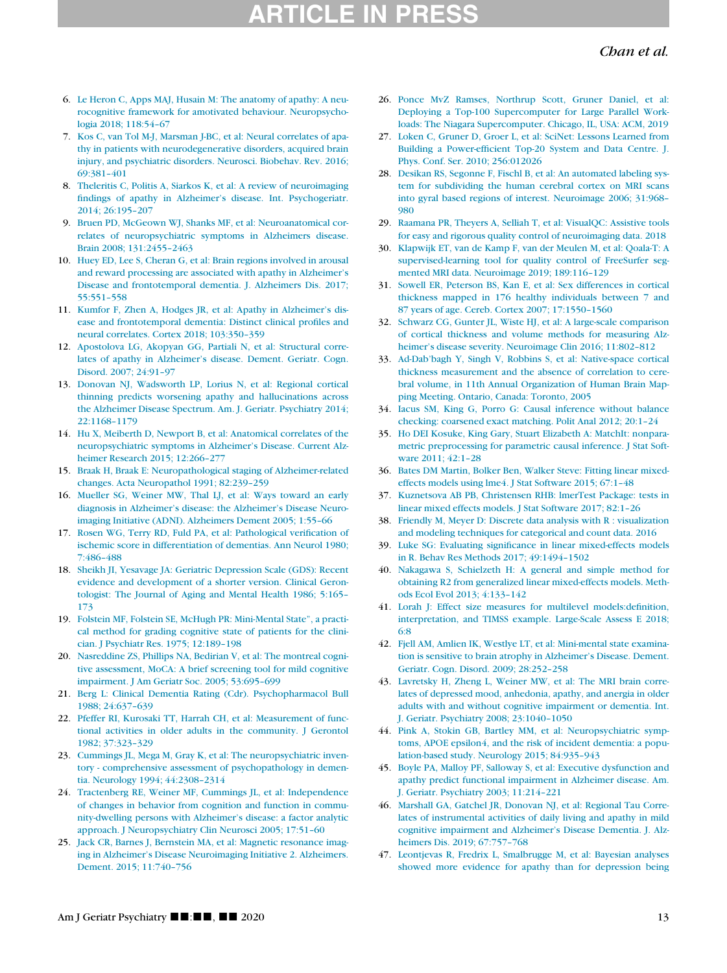## TICLE IN PR

### Chan et al.

- <span id="page-12-20"></span><span id="page-12-0"></span>6. [Le Heron C, Apps MAJ, Husain M: The anatomy of apathy: A neu](http://refhub.elsevier.com/S1064-7481(20)30576-5/sbref0006)[rocognitive framework for amotivated behaviour. Neuropsycho](http://refhub.elsevier.com/S1064-7481(20)30576-5/sbref0006)[logia 2018; 118:54–67](http://refhub.elsevier.com/S1064-7481(20)30576-5/sbref0006)
- <span id="page-12-21"></span><span id="page-12-1"></span>7. [Kos C, van Tol M-J, Marsman J-BC, et al: Neural correlates of apa](http://refhub.elsevier.com/S1064-7481(20)30576-5/sbref0007)[thy in patients with neurodegenerative disorders, acquired brain](http://refhub.elsevier.com/S1064-7481(20)30576-5/sbref0007) [injury, and psychiatric disorders. Neurosci. Biobehav. Rev. 2016;](http://refhub.elsevier.com/S1064-7481(20)30576-5/sbref0007) [69:381–401](http://refhub.elsevier.com/S1064-7481(20)30576-5/sbref0007)
- <span id="page-12-22"></span><span id="page-12-2"></span>8. [Theleritis C, Politis A, Siarkos K, et al: A review of neuroimaging](http://refhub.elsevier.com/S1064-7481(20)30576-5/sbref0008) [findings of apathy in Alzheimer's disease. Int. Psychogeriatr.](http://refhub.elsevier.com/S1064-7481(20)30576-5/sbref0008) [2014; 26:195–207](http://refhub.elsevier.com/S1064-7481(20)30576-5/sbref0008)
- <span id="page-12-23"></span><span id="page-12-3"></span>9. [Bruen PD, McGeown WJ, Shanks MF, et al: Neuroanatomical cor](http://refhub.elsevier.com/S1064-7481(20)30576-5/sbref0009)[relates of neuropsychiatric symptoms in Alzheimers disease.](http://refhub.elsevier.com/S1064-7481(20)30576-5/sbref0009) [Brain 2008; 131:2455–2463](http://refhub.elsevier.com/S1064-7481(20)30576-5/sbref0009)
- <span id="page-12-25"></span><span id="page-12-24"></span><span id="page-12-4"></span>10. [Huey ED, Lee S, Cheran G, et al: Brain regions involved in arousal](http://refhub.elsevier.com/S1064-7481(20)30576-5/sbref0010) [and reward processing are associated with apathy in Alzheimer's](http://refhub.elsevier.com/S1064-7481(20)30576-5/sbref0010) [Disease and frontotemporal dementia. J. Alzheimers Dis. 2017;](http://refhub.elsevier.com/S1064-7481(20)30576-5/sbref0010) [55:551–558](http://refhub.elsevier.com/S1064-7481(20)30576-5/sbref0010)
- <span id="page-12-6"></span>11. [Kumfor F, Zhen A, Hodges JR, et al: Apathy in Alzheimer's dis](http://refhub.elsevier.com/S1064-7481(20)30576-5/sbref0011)[ease and frontotemporal dementia: Distinct clinical profiles and](http://refhub.elsevier.com/S1064-7481(20)30576-5/sbref0011) [neural correlates. Cortex 2018; 103:350–359](http://refhub.elsevier.com/S1064-7481(20)30576-5/sbref0011)
- <span id="page-12-5"></span>12. [Apostolova LG, Akopyan GG, Partiali N, et al: Structural corre](http://refhub.elsevier.com/S1064-7481(20)30576-5/sbref0012)[lates of apathy in Alzheimer's disease. Dement. Geriatr. Cogn.](http://refhub.elsevier.com/S1064-7481(20)30576-5/sbref0012) [Disord. 2007; 24:91–97](http://refhub.elsevier.com/S1064-7481(20)30576-5/sbref0012)
- <span id="page-12-26"></span><span id="page-12-7"></span>13. [Donovan NJ, Wadsworth LP, Lorius N, et al: Regional cortical](http://refhub.elsevier.com/S1064-7481(20)30576-5/sbref0013) [thinning predicts worsening apathy and hallucinations across](http://refhub.elsevier.com/S1064-7481(20)30576-5/sbref0013) [the Alzheimer Disease Spectrum. Am. J. Geriatr. Psychiatry 2014;](http://refhub.elsevier.com/S1064-7481(20)30576-5/sbref0013) [22:1168–1179](http://refhub.elsevier.com/S1064-7481(20)30576-5/sbref0013)
- <span id="page-12-27"></span><span id="page-12-8"></span>14. [Hu X, Meiberth D, Newport B, et al: Anatomical correlates of the](http://refhub.elsevier.com/S1064-7481(20)30576-5/sbref0014) [neuropsychiatric symptoms in Alzheimer's Disease. Current Alz](http://refhub.elsevier.com/S1064-7481(20)30576-5/sbref0014)[heimer Research 2015; 12:266–277](http://refhub.elsevier.com/S1064-7481(20)30576-5/sbref0014)
- <span id="page-12-28"></span><span id="page-12-9"></span>15. [Braak H, Braak E: Neuropathological staging of Alzheimer-related](http://refhub.elsevier.com/S1064-7481(20)30576-5/sbref0015) [changes. Acta Neuropathol 1991; 82:239–259](http://refhub.elsevier.com/S1064-7481(20)30576-5/sbref0015)
- <span id="page-12-29"></span><span id="page-12-10"></span>16. [Mueller SG, Weiner MW, Thal LJ, et al: Ways toward an early](http://refhub.elsevier.com/S1064-7481(20)30576-5/sbref0016) [diagnosis in Alzheimer's disease: the Alzheimer's Disease Neuro](http://refhub.elsevier.com/S1064-7481(20)30576-5/sbref0016)[imaging Initiative \(ADNI\). Alzheimers Dement 2005; 1:55–66](http://refhub.elsevier.com/S1064-7481(20)30576-5/sbref0016)
- <span id="page-12-31"></span><span id="page-12-30"></span><span id="page-12-11"></span>17. [Rosen WG, Terry RD, Fuld PA, et al: Pathological verification of](http://refhub.elsevier.com/S1064-7481(20)30576-5/sbref0017) [ischemic score in differentiation of dementias. Ann Neurol 1980;](http://refhub.elsevier.com/S1064-7481(20)30576-5/sbref0017) [7:486–488](http://refhub.elsevier.com/S1064-7481(20)30576-5/sbref0017)
- <span id="page-12-32"></span><span id="page-12-12"></span>18. [Sheikh JI, Yesavage JA: Geriatric Depression Scale \(GDS\): Recent](http://refhub.elsevier.com/S1064-7481(20)30576-5/sbref0018) [evidence and development of a shorter version. Clinical Geron](http://refhub.elsevier.com/S1064-7481(20)30576-5/sbref0018)[tologist: The Journal of Aging and Mental Health 1986; 5:165–](http://refhub.elsevier.com/S1064-7481(20)30576-5/sbref0018) [173](http://refhub.elsevier.com/S1064-7481(20)30576-5/sbref0018)
- <span id="page-12-33"></span><span id="page-12-13"></span>19. [Folstein MF, Folstein SE, McHugh PR: Mini-Mental State", a practi](http://refhub.elsevier.com/S1064-7481(20)30576-5/sbref0019)[cal method for grading cognitive state of patients for the clini](http://refhub.elsevier.com/S1064-7481(20)30576-5/sbref0019)[cian. J Psychiatr Res. 1975; 12:189–198](http://refhub.elsevier.com/S1064-7481(20)30576-5/sbref0019)
- <span id="page-12-34"></span><span id="page-12-14"></span>20. [Nasreddine ZS, Phillips NA, Bedirian V, et al: The montreal cogni](http://refhub.elsevier.com/S1064-7481(20)30576-5/sbref0020)[tive assessment, MoCA: A brief screening tool for mild cognitive](http://refhub.elsevier.com/S1064-7481(20)30576-5/sbref0020) [impairment. J Am Geriatr Soc. 2005; 53:695–699](http://refhub.elsevier.com/S1064-7481(20)30576-5/sbref0020)
- <span id="page-12-35"></span><span id="page-12-15"></span>21. [Berg L: Clinical Dementia Rating \(Cdr\). Psychopharmacol Bull](http://refhub.elsevier.com/S1064-7481(20)30576-5/sbref0021) [1988; 24:637–639](http://refhub.elsevier.com/S1064-7481(20)30576-5/sbref0021)
- <span id="page-12-36"></span><span id="page-12-16"></span>22. [Pfeffer RI, Kurosaki TT, Harrah CH, et al: Measurement of func](http://refhub.elsevier.com/S1064-7481(20)30576-5/sbref0022)[tional activities in older adults in the community. J Gerontol](http://refhub.elsevier.com/S1064-7481(20)30576-5/sbref0022) [1982; 37:323–329](http://refhub.elsevier.com/S1064-7481(20)30576-5/sbref0022)
- <span id="page-12-37"></span><span id="page-12-17"></span>23. [Cummings JL, Mega M, Gray K, et al: The neuropsychiatric inven](http://refhub.elsevier.com/S1064-7481(20)30576-5/sbref0023)[tory - comprehensive assessment of psychopathology in demen](http://refhub.elsevier.com/S1064-7481(20)30576-5/sbref0023)[tia. Neurology 1994; 44:2308–2314](http://refhub.elsevier.com/S1064-7481(20)30576-5/sbref0023)
- <span id="page-12-38"></span><span id="page-12-18"></span>24. [Tractenberg RE, Weiner MF, Cummings JL, et al: Independence](http://refhub.elsevier.com/S1064-7481(20)30576-5/sbref0024) [of changes in behavior from cognition and function in commu](http://refhub.elsevier.com/S1064-7481(20)30576-5/sbref0024)[nity-dwelling persons with Alzheimer's disease: a factor analytic](http://refhub.elsevier.com/S1064-7481(20)30576-5/sbref0024) [approach. J Neuropsychiatry Clin Neurosci 2005; 17:51–60](http://refhub.elsevier.com/S1064-7481(20)30576-5/sbref0024)
- <span id="page-12-39"></span><span id="page-12-19"></span>25. [Jack CR, Barnes J, Bernstein MA, et al: Magnetic resonance imag](http://refhub.elsevier.com/S1064-7481(20)30576-5/sbref0025)[ing in Alzheimer's Disease Neuroimaging Initiative 2. Alzheimers.](http://refhub.elsevier.com/S1064-7481(20)30576-5/sbref0025) [Dement. 2015; 11:740–756](http://refhub.elsevier.com/S1064-7481(20)30576-5/sbref0025)
- 26. [Ponce MvZ Ramses, Northrup Scott, Gruner Daniel, et al:](http://refhub.elsevier.com/S1064-7481(20)30576-5/sbref0026) [Deploying a Top-100 Supercomputer for Large Parallel Work](http://refhub.elsevier.com/S1064-7481(20)30576-5/sbref0026)[loads: The Niagara Supercomputer. Chicago, IL, USA: ACM, 2019](http://refhub.elsevier.com/S1064-7481(20)30576-5/sbref0026)
- 27. [Loken C, Gruner D, Groer L, et al: SciNet: Lessons Learned from](http://refhub.elsevier.com/S1064-7481(20)30576-5/sbref0027) [Building a Power-efficient Top-20 System and Data Centre. J.](http://refhub.elsevier.com/S1064-7481(20)30576-5/sbref0027) [Phys. Conf. Ser. 2010; 256:012026](http://refhub.elsevier.com/S1064-7481(20)30576-5/sbref0027)
- 28. [Desikan RS, Segonne F, Fischl B, et al: An automated labeling sys](http://refhub.elsevier.com/S1064-7481(20)30576-5/sbref0028)[tem for subdividing the human cerebral cortex on MRI scans](http://refhub.elsevier.com/S1064-7481(20)30576-5/sbref0028) [into gyral based regions of interest. Neuroimage 2006; 31:968–](http://refhub.elsevier.com/S1064-7481(20)30576-5/sbref0028) [980](http://refhub.elsevier.com/S1064-7481(20)30576-5/sbref0028)
- 29. [Raamana PR, Theyers A, Selliah T, et al: VisualQC: Assistive tools](http://refhub.elsevier.com/S1064-7481(20)30576-5/sbref0029) [for easy and rigorous quality control of neuroimaging data. 2018](http://refhub.elsevier.com/S1064-7481(20)30576-5/sbref0029)
- 30. [Klapwijk ET, van de Kamp F, van der Meulen M, et al: Qoala-T: A](http://refhub.elsevier.com/S1064-7481(20)30576-5/sbref0030) [supervised-learning tool for quality control of FreeSurfer seg](http://refhub.elsevier.com/S1064-7481(20)30576-5/sbref0030)[mented MRI data. Neuroimage 2019; 189:116–129](http://refhub.elsevier.com/S1064-7481(20)30576-5/sbref0030)
- 31. [Sowell ER, Peterson BS, Kan E, et al: Sex differences in cortical](http://refhub.elsevier.com/S1064-7481(20)30576-5/sbref0031) [thickness mapped in 176 healthy individuals between 7 and](http://refhub.elsevier.com/S1064-7481(20)30576-5/sbref0031) [87 years of age. Cereb. Cortex 2007; 17:1550–1560](http://refhub.elsevier.com/S1064-7481(20)30576-5/sbref0031)
- 32. [Schwarz CG, Gunter JL, Wiste HJ, et al: A large-scale comparison](http://refhub.elsevier.com/S1064-7481(20)30576-5/sbref0032) [of cortical thickness and volume methods for measuring Alz](http://refhub.elsevier.com/S1064-7481(20)30576-5/sbref0032)[heimer's disease severity. Neuroimage Clin 2016; 11:802–812](http://refhub.elsevier.com/S1064-7481(20)30576-5/sbref0032)
- 33. [Ad-Dab'bagh Y, Singh V, Robbins S, et al: Native-space cortical](http://refhub.elsevier.com/S1064-7481(20)30576-5/sbref0033) [thickness measurement and the absence of correlation to cere](http://refhub.elsevier.com/S1064-7481(20)30576-5/sbref0033)[bral volume, in 11th Annual Organization of Human Brain Map](http://refhub.elsevier.com/S1064-7481(20)30576-5/sbref0033)[ping Meeting. Ontario, Canada: Toronto, 2005](http://refhub.elsevier.com/S1064-7481(20)30576-5/sbref0033)
- 34. [Iacus SM, King G, Porro G: Causal inference without balance](http://refhub.elsevier.com/S1064-7481(20)30576-5/sbref0034) [checking: coarsened exact matching. Polit Anal 2012; 20:1–24](http://refhub.elsevier.com/S1064-7481(20)30576-5/sbref0034)
- 35. [Ho DEI Kosuke, King Gary, Stuart Elizabeth A: MatchIt: nonpara](http://refhub.elsevier.com/S1064-7481(20)30576-5/sbref0035)[metric preprocessing for parametric causal inference. J Stat Soft](http://refhub.elsevier.com/S1064-7481(20)30576-5/sbref0035)[ware 2011; 42:1–28](http://refhub.elsevier.com/S1064-7481(20)30576-5/sbref0035)
- 36. [Bates DM Martin, Bolker Ben, Walker Steve: Fitting linear mixed](http://refhub.elsevier.com/S1064-7481(20)30576-5/sbref0036)[effects models using lme4. J Stat Software 2015; 67:1–48](http://refhub.elsevier.com/S1064-7481(20)30576-5/sbref0036)
- 37. [Kuznetsova AB PB, Christensen RHB: lmerTest Package: tests in](http://refhub.elsevier.com/S1064-7481(20)30576-5/sbref0037) [linear mixed effects models. J Stat Software 2017; 82:1–26](http://refhub.elsevier.com/S1064-7481(20)30576-5/sbref0037)
- 38. [Friendly M, Meyer D: Discrete data analysis with R : visualization](http://refhub.elsevier.com/S1064-7481(20)30576-5/sbref0038) [and modeling techniques for categorical and count data. 2016](http://refhub.elsevier.com/S1064-7481(20)30576-5/sbref0038)
- 39. [Luke SG: Evaluating significance in linear mixed-effects models](http://refhub.elsevier.com/S1064-7481(20)30576-5/sbref0039) [in R. Behav Res Methods 2017; 49:1494–1502](http://refhub.elsevier.com/S1064-7481(20)30576-5/sbref0039)
- 40. [Nakagawa S, Schielzeth H: A general and simple method for](http://refhub.elsevier.com/S1064-7481(20)30576-5/sbref0040) [obtaining R2 from generalized linear mixed-effects models. Meth](http://refhub.elsevier.com/S1064-7481(20)30576-5/sbref0040)[ods Ecol Evol 2013; 4:133–142](http://refhub.elsevier.com/S1064-7481(20)30576-5/sbref0040)
- 41. [Lorah J: Effect size measures for multilevel models:definition,](http://refhub.elsevier.com/S1064-7481(20)30576-5/sbref0041) [interpretation, and TIMSS example. Large-Scale Assess E 2018;](http://refhub.elsevier.com/S1064-7481(20)30576-5/sbref0041) [6:8](http://refhub.elsevier.com/S1064-7481(20)30576-5/sbref0041)
- 42. [Fjell AM, Amlien IK, Westlye LT, et al: Mini-mental state examina](http://refhub.elsevier.com/S1064-7481(20)30576-5/sbref0042)[tion is sensitive to brain atrophy in Alzheimer's Disease. Dement.](http://refhub.elsevier.com/S1064-7481(20)30576-5/sbref0042) [Geriatr. Cogn. Disord. 2009; 28:252–258](http://refhub.elsevier.com/S1064-7481(20)30576-5/sbref0042)
- 43. [Lavretsky H, Zheng L, Weiner MW, et al: The MRI brain corre](http://refhub.elsevier.com/S1064-7481(20)30576-5/sbref0043)[lates of depressed mood, anhedonia, apathy, and anergia in older](http://refhub.elsevier.com/S1064-7481(20)30576-5/sbref0043) [adults with and without cognitive impairment or dementia. Int.](http://refhub.elsevier.com/S1064-7481(20)30576-5/sbref0043) [J. Geriatr. Psychiatry 2008; 23:1040–1050](http://refhub.elsevier.com/S1064-7481(20)30576-5/sbref0043)
- 44. [Pink A, Stokin GB, Bartley MM, et al: Neuropsychiatric symp](http://refhub.elsevier.com/S1064-7481(20)30576-5/sbref0044)[toms, APOE epsilon4, and the risk of incident dementia: a popu](http://refhub.elsevier.com/S1064-7481(20)30576-5/sbref0044)[lation-based study. Neurology 2015; 84:935–943](http://refhub.elsevier.com/S1064-7481(20)30576-5/sbref0044)
- 45. [Boyle PA, Malloy PF, Salloway S, et al: Executive dysfunction and](http://refhub.elsevier.com/S1064-7481(20)30576-5/sbref0045) [apathy predict functional impairment in Alzheimer disease. Am.](http://refhub.elsevier.com/S1064-7481(20)30576-5/sbref0045) [J. Geriatr. Psychiatry 2003; 11:214–221](http://refhub.elsevier.com/S1064-7481(20)30576-5/sbref0045)
- 46. [Marshall GA, Gatchel JR, Donovan NJ, et al: Regional Tau Corre](http://refhub.elsevier.com/S1064-7481(20)30576-5/sbref0046)[lates of instrumental activities of daily living and apathy in mild](http://refhub.elsevier.com/S1064-7481(20)30576-5/sbref0046) [cognitive impairment and Alzheimer's Disease Dementia. J. Alz](http://refhub.elsevier.com/S1064-7481(20)30576-5/sbref0046)[heimers Dis. 2019; 67:757–768](http://refhub.elsevier.com/S1064-7481(20)30576-5/sbref0046)
- 47. [Leontjevas R, Fredrix L, Smalbrugge M, et al: Bayesian analyses](http://refhub.elsevier.com/S1064-7481(20)30576-5/sbref0047) [showed more evidence for apathy than for depression being](http://refhub.elsevier.com/S1064-7481(20)30576-5/sbref0047)